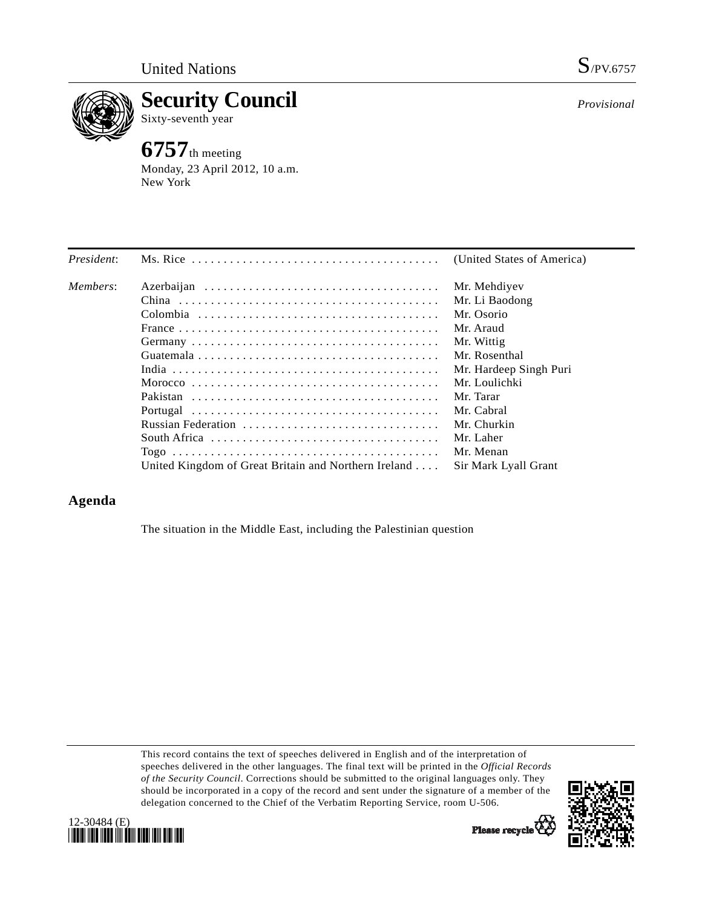

**Security Council**  Sixty-seventh year

# **6757**th meeting

Monday, 23 April 2012, 10 a.m. New York

*Provisional*

| President: |                                                      | (United States of America) |
|------------|------------------------------------------------------|----------------------------|
| Members:   |                                                      | Mr. Mehdiyev               |
|            |                                                      | Mr. Li Baodong             |
|            |                                                      | Mr. Osorio                 |
|            |                                                      | Mr. Araud                  |
|            |                                                      | Mr. Wittig                 |
|            |                                                      | Mr. Rosenthal              |
|            |                                                      | Mr. Hardeep Singh Puri     |
|            |                                                      | Mr. Loulichki              |
|            |                                                      | Mr. Tarar                  |
|            |                                                      | Mr. Cabral                 |
|            | Russian Federation                                   | Mr. Churkin                |
|            |                                                      | Mr. Laher                  |
|            |                                                      | Mr. Menan                  |
|            | United Kingdom of Great Britain and Northern Ireland | Sir Mark Lyall Grant       |

# **Agenda**

The situation in the Middle East, including the Palestinian question

This record contains the text of speeches delivered in English and of the interpretation of speeches delivered in the other languages. The final text will be printed in the *Official Records of the Security Council*. Corrections should be submitted to the original languages only. They should be incorporated in a copy of the record and sent under the signature of a member of the delegation concerned to the Chief of the Verbatim Reporting Service, room U-506.





Please recycle<sup>Q</sup>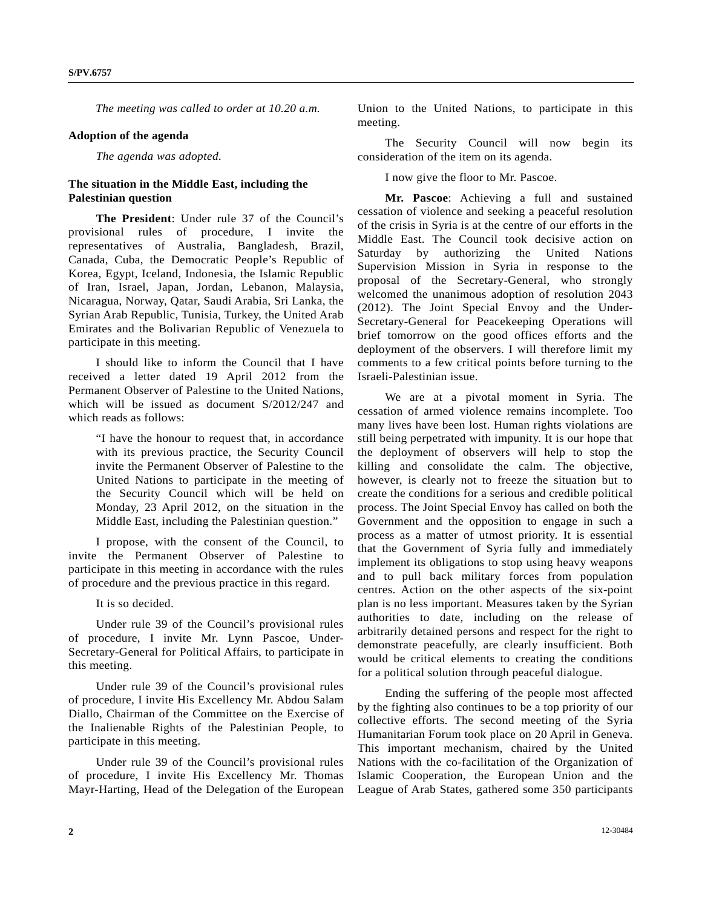*The meeting was called to order at 10.20 a.m.* 

#### **Adoption of the agenda**

*The agenda was adopted.* 

## **The situation in the Middle East, including the Palestinian question**

**The President**: Under rule 37 of the Council's provisional rules of procedure, I invite the representatives of Australia, Bangladesh, Brazil, Canada, Cuba, the Democratic People's Republic of Korea, Egypt, Iceland, Indonesia, the Islamic Republic of Iran, Israel, Japan, Jordan, Lebanon, Malaysia, Nicaragua, Norway, Qatar, Saudi Arabia, Sri Lanka, the Syrian Arab Republic, Tunisia, Turkey, the United Arab Emirates and the Bolivarian Republic of Venezuela to participate in this meeting.

 I should like to inform the Council that I have received a letter dated 19 April 2012 from the Permanent Observer of Palestine to the United Nations, which will be issued as document S/2012/247 and which reads as follows:

 "I have the honour to request that, in accordance with its previous practice, the Security Council invite the Permanent Observer of Palestine to the United Nations to participate in the meeting of the Security Council which will be held on Monday, 23 April 2012, on the situation in the Middle East, including the Palestinian question."

 I propose, with the consent of the Council, to invite the Permanent Observer of Palestine to participate in this meeting in accordance with the rules of procedure and the previous practice in this regard.

### It is so decided.

 Under rule 39 of the Council's provisional rules of procedure, I invite Mr. Lynn Pascoe, Under-Secretary-General for Political Affairs, to participate in this meeting.

 Under rule 39 of the Council's provisional rules of procedure, I invite His Excellency Mr. Abdou Salam Diallo, Chairman of the Committee on the Exercise of the Inalienable Rights of the Palestinian People, to participate in this meeting.

 Under rule 39 of the Council's provisional rules of procedure, I invite His Excellency Mr. Thomas Mayr-Harting, Head of the Delegation of the European Union to the United Nations, to participate in this meeting.

 The Security Council will now begin its consideration of the item on its agenda.

I now give the floor to Mr. Pascoe.

**Mr. Pascoe**: Achieving a full and sustained cessation of violence and seeking a peaceful resolution of the crisis in Syria is at the centre of our efforts in the Middle East. The Council took decisive action on Saturday by authorizing the United Nations Supervision Mission in Syria in response to the proposal of the Secretary-General, who strongly welcomed the unanimous adoption of resolution 2043 (2012). The Joint Special Envoy and the Under-Secretary-General for Peacekeeping Operations will brief tomorrow on the good offices efforts and the deployment of the observers. I will therefore limit my comments to a few critical points before turning to the Israeli-Palestinian issue.

 We are at a pivotal moment in Syria. The cessation of armed violence remains incomplete. Too many lives have been lost. Human rights violations are still being perpetrated with impunity. It is our hope that the deployment of observers will help to stop the killing and consolidate the calm. The objective, however, is clearly not to freeze the situation but to create the conditions for a serious and credible political process. The Joint Special Envoy has called on both the Government and the opposition to engage in such a process as a matter of utmost priority. It is essential that the Government of Syria fully and immediately implement its obligations to stop using heavy weapons and to pull back military forces from population centres. Action on the other aspects of the six-point plan is no less important. Measures taken by the Syrian authorities to date, including on the release of arbitrarily detained persons and respect for the right to demonstrate peacefully, are clearly insufficient. Both would be critical elements to creating the conditions for a political solution through peaceful dialogue.

 Ending the suffering of the people most affected by the fighting also continues to be a top priority of our collective efforts. The second meeting of the Syria Humanitarian Forum took place on 20 April in Geneva. This important mechanism, chaired by the United Nations with the co-facilitation of the Organization of Islamic Cooperation, the European Union and the League of Arab States, gathered some 350 participants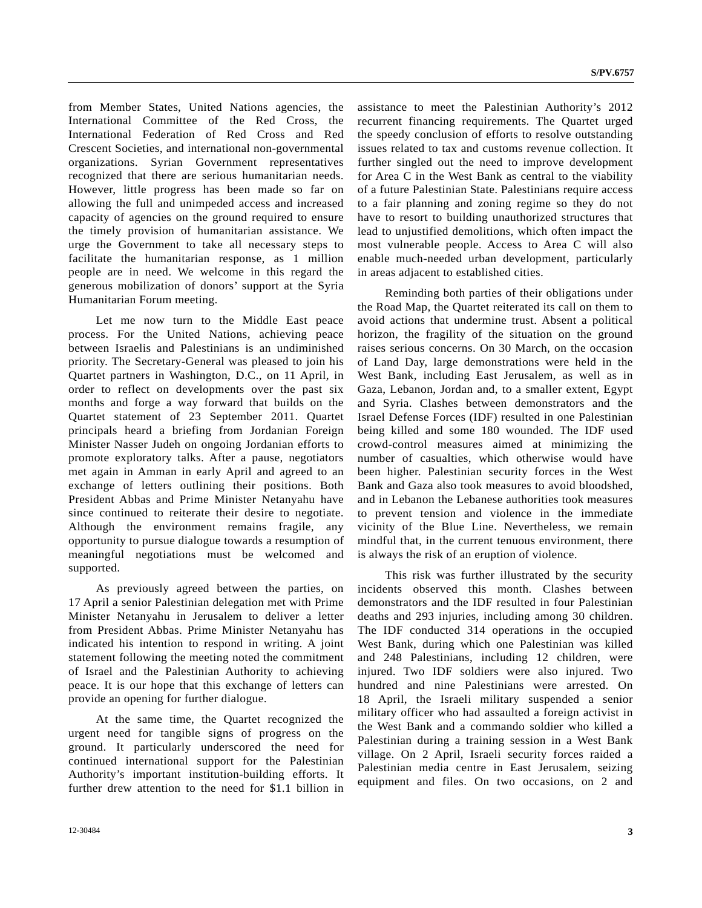from Member States, United Nations agencies, the International Committee of the Red Cross, the International Federation of Red Cross and Red Crescent Societies, and international non-governmental organizations. Syrian Government representatives recognized that there are serious humanitarian needs. However, little progress has been made so far on allowing the full and unimpeded access and increased capacity of agencies on the ground required to ensure the timely provision of humanitarian assistance. We urge the Government to take all necessary steps to facilitate the humanitarian response, as 1 million people are in need. We welcome in this regard the generous mobilization of donors' support at the Syria Humanitarian Forum meeting.

 Let me now turn to the Middle East peace process. For the United Nations, achieving peace between Israelis and Palestinians is an undiminished priority. The Secretary-General was pleased to join his Quartet partners in Washington, D.C., on 11 April, in order to reflect on developments over the past six months and forge a way forward that builds on the Quartet statement of 23 September 2011. Quartet principals heard a briefing from Jordanian Foreign Minister Nasser Judeh on ongoing Jordanian efforts to promote exploratory talks. After a pause, negotiators met again in Amman in early April and agreed to an exchange of letters outlining their positions. Both President Abbas and Prime Minister Netanyahu have since continued to reiterate their desire to negotiate. Although the environment remains fragile, any opportunity to pursue dialogue towards a resumption of meaningful negotiations must be welcomed and supported.

 As previously agreed between the parties, on 17 April a senior Palestinian delegation met with Prime Minister Netanyahu in Jerusalem to deliver a letter from President Abbas. Prime Minister Netanyahu has indicated his intention to respond in writing. A joint statement following the meeting noted the commitment of Israel and the Palestinian Authority to achieving peace. It is our hope that this exchange of letters can provide an opening for further dialogue.

 At the same time, the Quartet recognized the urgent need for tangible signs of progress on the ground. It particularly underscored the need for continued international support for the Palestinian Authority's important institution-building efforts. It further drew attention to the need for \$1.1 billion in

assistance to meet the Palestinian Authority's 2012 recurrent financing requirements. The Quartet urged the speedy conclusion of efforts to resolve outstanding issues related to tax and customs revenue collection. It further singled out the need to improve development for Area C in the West Bank as central to the viability of a future Palestinian State. Palestinians require access to a fair planning and zoning regime so they do not have to resort to building unauthorized structures that lead to unjustified demolitions, which often impact the most vulnerable people. Access to Area C will also enable much-needed urban development, particularly in areas adjacent to established cities.

 Reminding both parties of their obligations under the Road Map, the Quartet reiterated its call on them to avoid actions that undermine trust. Absent a political horizon, the fragility of the situation on the ground raises serious concerns. On 30 March, on the occasion of Land Day, large demonstrations were held in the West Bank, including East Jerusalem, as well as in Gaza, Lebanon, Jordan and, to a smaller extent, Egypt and Syria. Clashes between demonstrators and the Israel Defense Forces (IDF) resulted in one Palestinian being killed and some 180 wounded. The IDF used crowd-control measures aimed at minimizing the number of casualties, which otherwise would have been higher. Palestinian security forces in the West Bank and Gaza also took measures to avoid bloodshed, and in Lebanon the Lebanese authorities took measures to prevent tension and violence in the immediate vicinity of the Blue Line. Nevertheless, we remain mindful that, in the current tenuous environment, there is always the risk of an eruption of violence.

 This risk was further illustrated by the security incidents observed this month. Clashes between demonstrators and the IDF resulted in four Palestinian deaths and 293 injuries, including among 30 children. The IDF conducted 314 operations in the occupied West Bank, during which one Palestinian was killed and 248 Palestinians, including 12 children, were injured. Two IDF soldiers were also injured. Two hundred and nine Palestinians were arrested. On 18 April, the Israeli military suspended a senior military officer who had assaulted a foreign activist in the West Bank and a commando soldier who killed a Palestinian during a training session in a West Bank village. On 2 April, Israeli security forces raided a Palestinian media centre in East Jerusalem, seizing equipment and files. On two occasions, on 2 and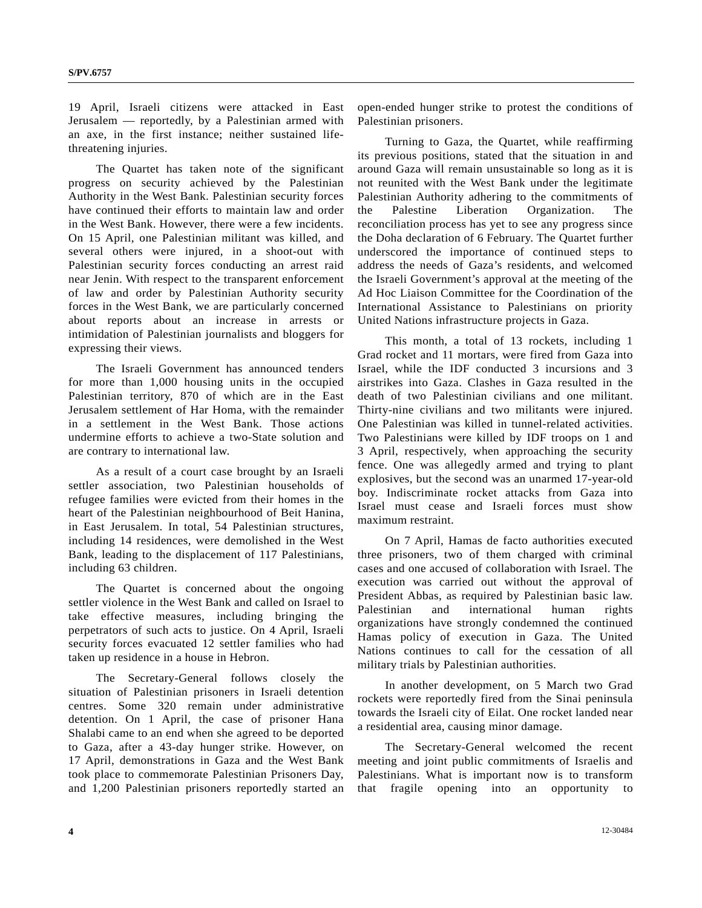19 April, Israeli citizens were attacked in East Jerusalem — reportedly, by a Palestinian armed with an axe, in the first instance; neither sustained lifethreatening injuries.

 The Quartet has taken note of the significant progress on security achieved by the Palestinian Authority in the West Bank. Palestinian security forces have continued their efforts to maintain law and order in the West Bank. However, there were a few incidents. On 15 April, one Palestinian militant was killed, and several others were injured, in a shoot-out with Palestinian security forces conducting an arrest raid near Jenin. With respect to the transparent enforcement of law and order by Palestinian Authority security forces in the West Bank, we are particularly concerned about reports about an increase in arrests or intimidation of Palestinian journalists and bloggers for expressing their views.

 The Israeli Government has announced tenders for more than 1,000 housing units in the occupied Palestinian territory, 870 of which are in the East Jerusalem settlement of Har Homa, with the remainder in a settlement in the West Bank. Those actions undermine efforts to achieve a two-State solution and are contrary to international law.

 As a result of a court case brought by an Israeli settler association, two Palestinian households of refugee families were evicted from their homes in the heart of the Palestinian neighbourhood of Beit Hanina, in East Jerusalem. In total, 54 Palestinian structures, including 14 residences, were demolished in the West Bank, leading to the displacement of 117 Palestinians, including 63 children.

 The Quartet is concerned about the ongoing settler violence in the West Bank and called on Israel to take effective measures, including bringing the perpetrators of such acts to justice. On 4 April, Israeli security forces evacuated 12 settler families who had taken up residence in a house in Hebron.

 The Secretary-General follows closely the situation of Palestinian prisoners in Israeli detention centres. Some 320 remain under administrative detention. On 1 April, the case of prisoner Hana Shalabi came to an end when she agreed to be deported to Gaza, after a 43-day hunger strike. However, on 17 April, demonstrations in Gaza and the West Bank took place to commemorate Palestinian Prisoners Day, and 1,200 Palestinian prisoners reportedly started an

open-ended hunger strike to protest the conditions of Palestinian prisoners.

 Turning to Gaza, the Quartet, while reaffirming its previous positions, stated that the situation in and around Gaza will remain unsustainable so long as it is not reunited with the West Bank under the legitimate Palestinian Authority adhering to the commitments of the Palestine Liberation Organization. The reconciliation process has yet to see any progress since the Doha declaration of 6 February. The Quartet further underscored the importance of continued steps to address the needs of Gaza's residents, and welcomed the Israeli Government's approval at the meeting of the Ad Hoc Liaison Committee for the Coordination of the International Assistance to Palestinians on priority United Nations infrastructure projects in Gaza.

 This month, a total of 13 rockets, including 1 Grad rocket and 11 mortars, were fired from Gaza into Israel, while the IDF conducted 3 incursions and 3 airstrikes into Gaza. Clashes in Gaza resulted in the death of two Palestinian civilians and one militant. Thirty-nine civilians and two militants were injured. One Palestinian was killed in tunnel-related activities. Two Palestinians were killed by IDF troops on 1 and 3 April, respectively, when approaching the security fence. One was allegedly armed and trying to plant explosives, but the second was an unarmed 17-year-old boy. Indiscriminate rocket attacks from Gaza into Israel must cease and Israeli forces must show maximum restraint.

 On 7 April, Hamas de facto authorities executed three prisoners, two of them charged with criminal cases and one accused of collaboration with Israel. The execution was carried out without the approval of President Abbas, as required by Palestinian basic law. Palestinian and international human rights organizations have strongly condemned the continued Hamas policy of execution in Gaza. The United Nations continues to call for the cessation of all military trials by Palestinian authorities.

 In another development, on 5 March two Grad rockets were reportedly fired from the Sinai peninsula towards the Israeli city of Eilat. One rocket landed near a residential area, causing minor damage.

 The Secretary-General welcomed the recent meeting and joint public commitments of Israelis and Palestinians. What is important now is to transform that fragile opening into an opportunity to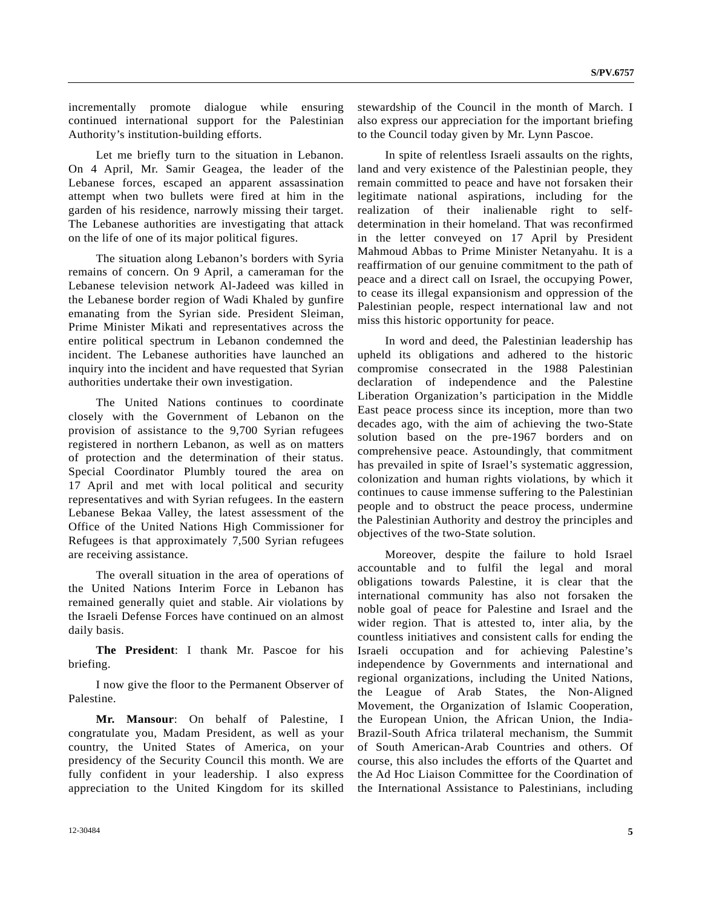incrementally promote dialogue while ensuring continued international support for the Palestinian Authority's institution-building efforts.

 Let me briefly turn to the situation in Lebanon. On 4 April, Mr. Samir Geagea, the leader of the Lebanese forces, escaped an apparent assassination attempt when two bullets were fired at him in the garden of his residence, narrowly missing their target. The Lebanese authorities are investigating that attack on the life of one of its major political figures.

 The situation along Lebanon's borders with Syria remains of concern. On 9 April, a cameraman for the Lebanese television network Al-Jadeed was killed in the Lebanese border region of Wadi Khaled by gunfire emanating from the Syrian side. President Sleiman, Prime Minister Mikati and representatives across the entire political spectrum in Lebanon condemned the incident. The Lebanese authorities have launched an inquiry into the incident and have requested that Syrian authorities undertake their own investigation.

 The United Nations continues to coordinate closely with the Government of Lebanon on the provision of assistance to the 9,700 Syrian refugees registered in northern Lebanon, as well as on matters of protection and the determination of their status. Special Coordinator Plumbly toured the area on 17 April and met with local political and security representatives and with Syrian refugees. In the eastern Lebanese Bekaa Valley, the latest assessment of the Office of the United Nations High Commissioner for Refugees is that approximately 7,500 Syrian refugees are receiving assistance.

 The overall situation in the area of operations of the United Nations Interim Force in Lebanon has remained generally quiet and stable. Air violations by the Israeli Defense Forces have continued on an almost daily basis.

**The President**: I thank Mr. Pascoe for his briefing.

 I now give the floor to the Permanent Observer of Palestine.

**Mr. Mansour**: On behalf of Palestine, I congratulate you, Madam President, as well as your country, the United States of America, on your presidency of the Security Council this month. We are fully confident in your leadership. I also express appreciation to the United Kingdom for its skilled stewardship of the Council in the month of March. I also express our appreciation for the important briefing to the Council today given by Mr. Lynn Pascoe.

 In spite of relentless Israeli assaults on the rights, land and very existence of the Palestinian people, they remain committed to peace and have not forsaken their legitimate national aspirations, including for the realization of their inalienable right to selfdetermination in their homeland. That was reconfirmed in the letter conveyed on 17 April by President Mahmoud Abbas to Prime Minister Netanyahu. It is a reaffirmation of our genuine commitment to the path of peace and a direct call on Israel, the occupying Power, to cease its illegal expansionism and oppression of the Palestinian people, respect international law and not miss this historic opportunity for peace.

 In word and deed, the Palestinian leadership has upheld its obligations and adhered to the historic compromise consecrated in the 1988 Palestinian declaration of independence and the Palestine Liberation Organization's participation in the Middle East peace process since its inception, more than two decades ago, with the aim of achieving the two-State solution based on the pre-1967 borders and on comprehensive peace. Astoundingly, that commitment has prevailed in spite of Israel's systematic aggression, colonization and human rights violations, by which it continues to cause immense suffering to the Palestinian people and to obstruct the peace process, undermine the Palestinian Authority and destroy the principles and objectives of the two-State solution.

 Moreover, despite the failure to hold Israel accountable and to fulfil the legal and moral obligations towards Palestine, it is clear that the international community has also not forsaken the noble goal of peace for Palestine and Israel and the wider region. That is attested to, inter alia, by the countless initiatives and consistent calls for ending the Israeli occupation and for achieving Palestine's independence by Governments and international and regional organizations, including the United Nations, the League of Arab States, the Non-Aligned Movement, the Organization of Islamic Cooperation, the European Union, the African Union, the India-Brazil-South Africa trilateral mechanism, the Summit of South American-Arab Countries and others. Of course, this also includes the efforts of the Quartet and the Ad Hoc Liaison Committee for the Coordination of the International Assistance to Palestinians, including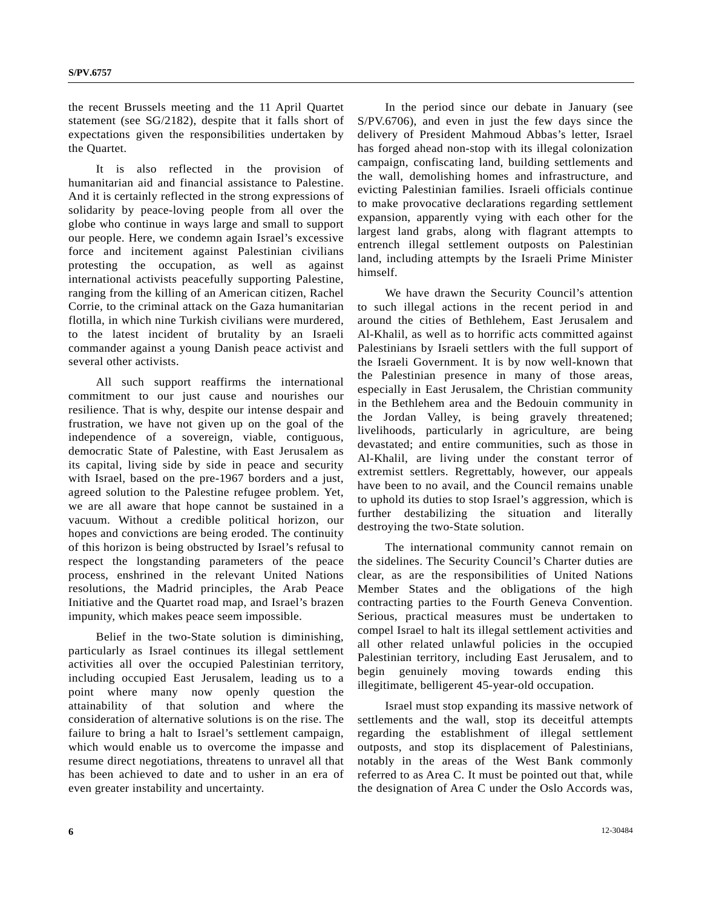the recent Brussels meeting and the 11 April Quartet statement (see SG/2182), despite that it falls short of expectations given the responsibilities undertaken by the Quartet.

 It is also reflected in the provision of humanitarian aid and financial assistance to Palestine. And it is certainly reflected in the strong expressions of solidarity by peace-loving people from all over the globe who continue in ways large and small to support our people. Here, we condemn again Israel's excessive force and incitement against Palestinian civilians protesting the occupation, as well as against international activists peacefully supporting Palestine, ranging from the killing of an American citizen, Rachel Corrie, to the criminal attack on the Gaza humanitarian flotilla, in which nine Turkish civilians were murdered, to the latest incident of brutality by an Israeli commander against a young Danish peace activist and several other activists.

 All such support reaffirms the international commitment to our just cause and nourishes our resilience. That is why, despite our intense despair and frustration, we have not given up on the goal of the independence of a sovereign, viable, contiguous, democratic State of Palestine, with East Jerusalem as its capital, living side by side in peace and security with Israel, based on the pre-1967 borders and a just, agreed solution to the Palestine refugee problem. Yet, we are all aware that hope cannot be sustained in a vacuum. Without a credible political horizon, our hopes and convictions are being eroded. The continuity of this horizon is being obstructed by Israel's refusal to respect the longstanding parameters of the peace process, enshrined in the relevant United Nations resolutions, the Madrid principles, the Arab Peace Initiative and the Quartet road map, and Israel's brazen impunity, which makes peace seem impossible.

 Belief in the two-State solution is diminishing, particularly as Israel continues its illegal settlement activities all over the occupied Palestinian territory, including occupied East Jerusalem, leading us to a point where many now openly question the attainability of that solution and where the consideration of alternative solutions is on the rise. The failure to bring a halt to Israel's settlement campaign, which would enable us to overcome the impasse and resume direct negotiations, threatens to unravel all that has been achieved to date and to usher in an era of even greater instability and uncertainty.

 In the period since our debate in January (see S/PV.6706), and even in just the few days since the delivery of President Mahmoud Abbas's letter, Israel has forged ahead non-stop with its illegal colonization campaign, confiscating land, building settlements and the wall, demolishing homes and infrastructure, and evicting Palestinian families. Israeli officials continue to make provocative declarations regarding settlement expansion, apparently vying with each other for the largest land grabs, along with flagrant attempts to entrench illegal settlement outposts on Palestinian land, including attempts by the Israeli Prime Minister himself.

 We have drawn the Security Council's attention to such illegal actions in the recent period in and around the cities of Bethlehem, East Jerusalem and Al-Khalil, as well as to horrific acts committed against Palestinians by Israeli settlers with the full support of the Israeli Government. It is by now well-known that the Palestinian presence in many of those areas, especially in East Jerusalem, the Christian community in the Bethlehem area and the Bedouin community in the Jordan Valley, is being gravely threatened; livelihoods, particularly in agriculture, are being devastated; and entire communities, such as those in Al-Khalil, are living under the constant terror of extremist settlers. Regrettably, however, our appeals have been to no avail, and the Council remains unable to uphold its duties to stop Israel's aggression, which is further destabilizing the situation and literally destroying the two-State solution.

 The international community cannot remain on the sidelines. The Security Council's Charter duties are clear, as are the responsibilities of United Nations Member States and the obligations of the high contracting parties to the Fourth Geneva Convention. Serious, practical measures must be undertaken to compel Israel to halt its illegal settlement activities and all other related unlawful policies in the occupied Palestinian territory, including East Jerusalem, and to begin genuinely moving towards ending this illegitimate, belligerent 45-year-old occupation.

 Israel must stop expanding its massive network of settlements and the wall, stop its deceitful attempts regarding the establishment of illegal settlement outposts, and stop its displacement of Palestinians, notably in the areas of the West Bank commonly referred to as Area C. It must be pointed out that, while the designation of Area C under the Oslo Accords was,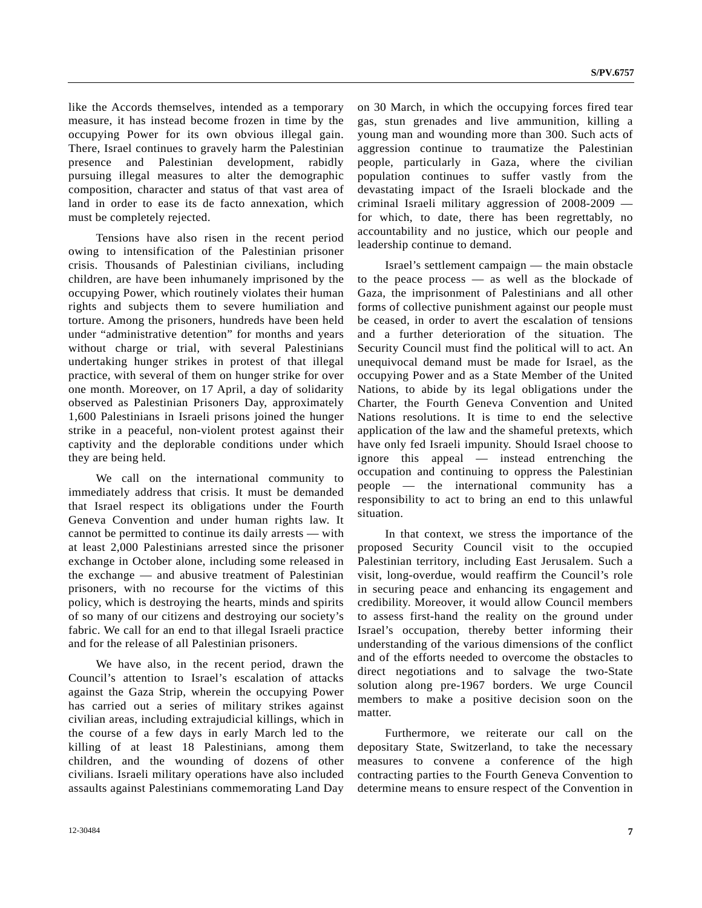like the Accords themselves, intended as a temporary measure, it has instead become frozen in time by the occupying Power for its own obvious illegal gain. There, Israel continues to gravely harm the Palestinian presence and Palestinian development, rabidly pursuing illegal measures to alter the demographic composition, character and status of that vast area of land in order to ease its de facto annexation, which must be completely rejected.

 Tensions have also risen in the recent period owing to intensification of the Palestinian prisoner crisis. Thousands of Palestinian civilians, including children, are have been inhumanely imprisoned by the occupying Power, which routinely violates their human rights and subjects them to severe humiliation and torture. Among the prisoners, hundreds have been held under "administrative detention" for months and years without charge or trial, with several Palestinians undertaking hunger strikes in protest of that illegal practice, with several of them on hunger strike for over one month. Moreover, on 17 April, a day of solidarity observed as Palestinian Prisoners Day, approximately 1,600 Palestinians in Israeli prisons joined the hunger strike in a peaceful, non-violent protest against their captivity and the deplorable conditions under which they are being held.

 We call on the international community to immediately address that crisis. It must be demanded that Israel respect its obligations under the Fourth Geneva Convention and under human rights law. It cannot be permitted to continue its daily arrests — with at least 2,000 Palestinians arrested since the prisoner exchange in October alone, including some released in the exchange — and abusive treatment of Palestinian prisoners, with no recourse for the victims of this policy, which is destroying the hearts, minds and spirits of so many of our citizens and destroying our society's fabric. We call for an end to that illegal Israeli practice and for the release of all Palestinian prisoners.

 We have also, in the recent period, drawn the Council's attention to Israel's escalation of attacks against the Gaza Strip, wherein the occupying Power has carried out a series of military strikes against civilian areas, including extrajudicial killings, which in the course of a few days in early March led to the killing of at least 18 Palestinians, among them children, and the wounding of dozens of other civilians. Israeli military operations have also included assaults against Palestinians commemorating Land Day on 30 March, in which the occupying forces fired tear gas, stun grenades and live ammunition, killing a young man and wounding more than 300. Such acts of aggression continue to traumatize the Palestinian people, particularly in Gaza, where the civilian population continues to suffer vastly from the devastating impact of the Israeli blockade and the criminal Israeli military aggression of 2008-2009 for which, to date, there has been regrettably, no accountability and no justice, which our people and leadership continue to demand.

 Israel's settlement campaign — the main obstacle to the peace process — as well as the blockade of Gaza, the imprisonment of Palestinians and all other forms of collective punishment against our people must be ceased, in order to avert the escalation of tensions and a further deterioration of the situation. The Security Council must find the political will to act. An unequivocal demand must be made for Israel, as the occupying Power and as a State Member of the United Nations, to abide by its legal obligations under the Charter, the Fourth Geneva Convention and United Nations resolutions. It is time to end the selective application of the law and the shameful pretexts, which have only fed Israeli impunity. Should Israel choose to ignore this appeal — instead entrenching the occupation and continuing to oppress the Palestinian people — the international community has a responsibility to act to bring an end to this unlawful situation.

 In that context, we stress the importance of the proposed Security Council visit to the occupied Palestinian territory, including East Jerusalem. Such a visit, long-overdue, would reaffirm the Council's role in securing peace and enhancing its engagement and credibility. Moreover, it would allow Council members to assess first-hand the reality on the ground under Israel's occupation, thereby better informing their understanding of the various dimensions of the conflict and of the efforts needed to overcome the obstacles to direct negotiations and to salvage the two-State solution along pre-1967 borders. We urge Council members to make a positive decision soon on the matter.

 Furthermore, we reiterate our call on the depositary State, Switzerland, to take the necessary measures to convene a conference of the high contracting parties to the Fourth Geneva Convention to determine means to ensure respect of the Convention in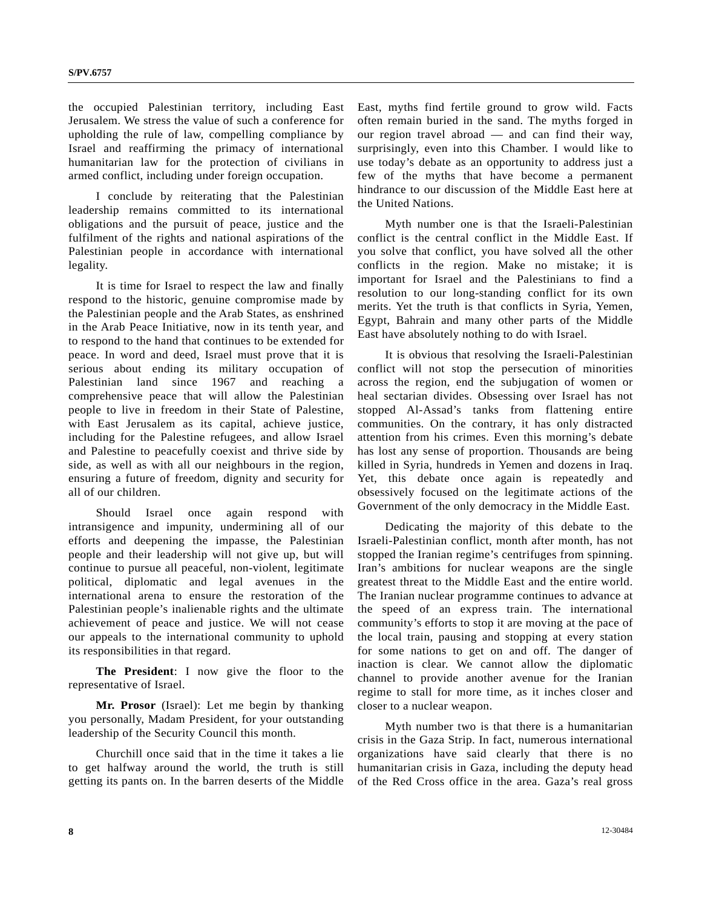the occupied Palestinian territory, including East Jerusalem. We stress the value of such a conference for upholding the rule of law, compelling compliance by Israel and reaffirming the primacy of international humanitarian law for the protection of civilians in armed conflict, including under foreign occupation.

 I conclude by reiterating that the Palestinian leadership remains committed to its international obligations and the pursuit of peace, justice and the fulfilment of the rights and national aspirations of the Palestinian people in accordance with international legality.

 It is time for Israel to respect the law and finally respond to the historic, genuine compromise made by the Palestinian people and the Arab States, as enshrined in the Arab Peace Initiative, now in its tenth year, and to respond to the hand that continues to be extended for peace. In word and deed, Israel must prove that it is serious about ending its military occupation of Palestinian land since 1967 and reaching a comprehensive peace that will allow the Palestinian people to live in freedom in their State of Palestine, with East Jerusalem as its capital, achieve justice, including for the Palestine refugees, and allow Israel and Palestine to peacefully coexist and thrive side by side, as well as with all our neighbours in the region, ensuring a future of freedom, dignity and security for all of our children.

 Should Israel once again respond with intransigence and impunity, undermining all of our efforts and deepening the impasse, the Palestinian people and their leadership will not give up, but will continue to pursue all peaceful, non-violent, legitimate political, diplomatic and legal avenues in the international arena to ensure the restoration of the Palestinian people's inalienable rights and the ultimate achievement of peace and justice. We will not cease our appeals to the international community to uphold its responsibilities in that regard.

**The President**: I now give the floor to the representative of Israel.

**Mr. Prosor** (Israel): Let me begin by thanking you personally, Madam President, for your outstanding leadership of the Security Council this month.

 Churchill once said that in the time it takes a lie to get halfway around the world, the truth is still getting its pants on. In the barren deserts of the Middle East, myths find fertile ground to grow wild. Facts often remain buried in the sand. The myths forged in our region travel abroad — and can find their way, surprisingly, even into this Chamber. I would like to use today's debate as an opportunity to address just a few of the myths that have become a permanent hindrance to our discussion of the Middle East here at the United Nations.

 Myth number one is that the Israeli-Palestinian conflict is the central conflict in the Middle East. If you solve that conflict, you have solved all the other conflicts in the region. Make no mistake; it is important for Israel and the Palestinians to find a resolution to our long-standing conflict for its own merits. Yet the truth is that conflicts in Syria, Yemen, Egypt, Bahrain and many other parts of the Middle East have absolutely nothing to do with Israel.

 It is obvious that resolving the Israeli-Palestinian conflict will not stop the persecution of minorities across the region, end the subjugation of women or heal sectarian divides. Obsessing over Israel has not stopped Al-Assad's tanks from flattening entire communities. On the contrary, it has only distracted attention from his crimes. Even this morning's debate has lost any sense of proportion. Thousands are being killed in Syria, hundreds in Yemen and dozens in Iraq. Yet, this debate once again is repeatedly and obsessively focused on the legitimate actions of the Government of the only democracy in the Middle East.

 Dedicating the majority of this debate to the Israeli-Palestinian conflict, month after month, has not stopped the Iranian regime's centrifuges from spinning. Iran's ambitions for nuclear weapons are the single greatest threat to the Middle East and the entire world. The Iranian nuclear programme continues to advance at the speed of an express train. The international community's efforts to stop it are moving at the pace of the local train, pausing and stopping at every station for some nations to get on and off. The danger of inaction is clear. We cannot allow the diplomatic channel to provide another avenue for the Iranian regime to stall for more time, as it inches closer and closer to a nuclear weapon.

 Myth number two is that there is a humanitarian crisis in the Gaza Strip. In fact, numerous international organizations have said clearly that there is no humanitarian crisis in Gaza, including the deputy head of the Red Cross office in the area. Gaza's real gross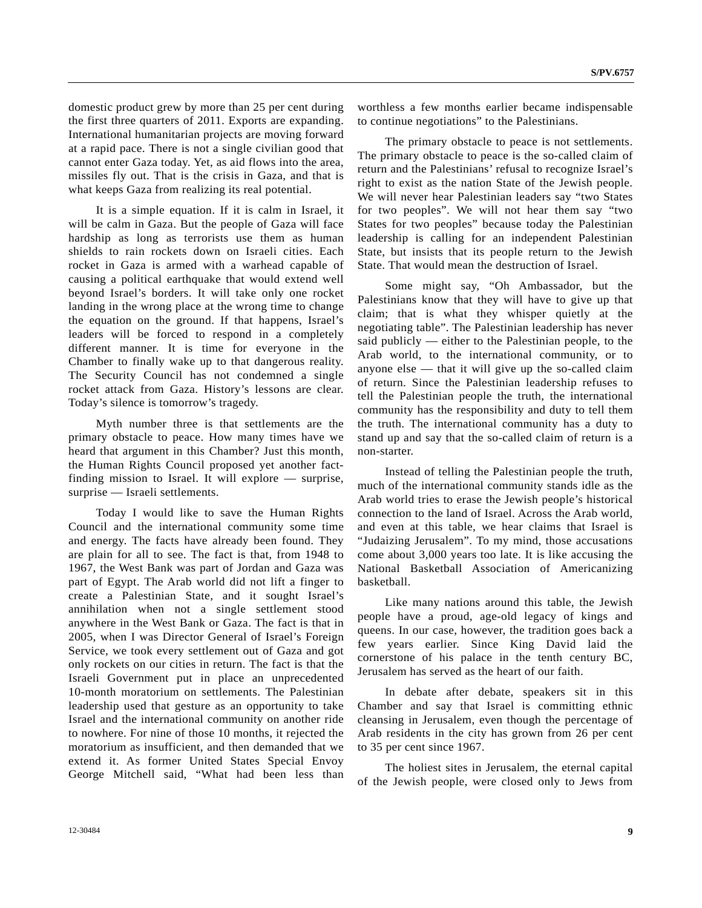domestic product grew by more than 25 per cent during the first three quarters of 2011. Exports are expanding. International humanitarian projects are moving forward at a rapid pace. There is not a single civilian good that cannot enter Gaza today. Yet, as aid flows into the area, missiles fly out. That is the crisis in Gaza, and that is what keeps Gaza from realizing its real potential.

 It is a simple equation. If it is calm in Israel, it will be calm in Gaza. But the people of Gaza will face hardship as long as terrorists use them as human shields to rain rockets down on Israeli cities. Each rocket in Gaza is armed with a warhead capable of causing a political earthquake that would extend well beyond Israel's borders. It will take only one rocket landing in the wrong place at the wrong time to change the equation on the ground. If that happens, Israel's leaders will be forced to respond in a completely different manner. It is time for everyone in the Chamber to finally wake up to that dangerous reality. The Security Council has not condemned a single rocket attack from Gaza. History's lessons are clear. Today's silence is tomorrow's tragedy.

 Myth number three is that settlements are the primary obstacle to peace. How many times have we heard that argument in this Chamber? Just this month, the Human Rights Council proposed yet another factfinding mission to Israel. It will explore — surprise, surprise — Israeli settlements.

 Today I would like to save the Human Rights Council and the international community some time and energy. The facts have already been found. They are plain for all to see. The fact is that, from 1948 to 1967, the West Bank was part of Jordan and Gaza was part of Egypt. The Arab world did not lift a finger to create a Palestinian State, and it sought Israel's annihilation when not a single settlement stood anywhere in the West Bank or Gaza. The fact is that in 2005, when I was Director General of Israel's Foreign Service, we took every settlement out of Gaza and got only rockets on our cities in return. The fact is that the Israeli Government put in place an unprecedented 10-month moratorium on settlements. The Palestinian leadership used that gesture as an opportunity to take Israel and the international community on another ride to nowhere. For nine of those 10 months, it rejected the moratorium as insufficient, and then demanded that we extend it. As former United States Special Envoy George Mitchell said, "What had been less than worthless a few months earlier became indispensable to continue negotiations" to the Palestinians.

 The primary obstacle to peace is not settlements. The primary obstacle to peace is the so-called claim of return and the Palestinians' refusal to recognize Israel's right to exist as the nation State of the Jewish people. We will never hear Palestinian leaders say "two States for two peoples". We will not hear them say "two States for two peoples" because today the Palestinian leadership is calling for an independent Palestinian State, but insists that its people return to the Jewish State. That would mean the destruction of Israel.

 Some might say, "Oh Ambassador, but the Palestinians know that they will have to give up that claim; that is what they whisper quietly at the negotiating table". The Palestinian leadership has never said publicly — either to the Palestinian people, to the Arab world, to the international community, or to anyone else  $-$  that it will give up the so-called claim of return. Since the Palestinian leadership refuses to tell the Palestinian people the truth, the international community has the responsibility and duty to tell them the truth. The international community has a duty to stand up and say that the so-called claim of return is a non-starter.

 Instead of telling the Palestinian people the truth, much of the international community stands idle as the Arab world tries to erase the Jewish people's historical connection to the land of Israel. Across the Arab world, and even at this table, we hear claims that Israel is "Judaizing Jerusalem". To my mind, those accusations come about 3,000 years too late. It is like accusing the National Basketball Association of Americanizing basketball.

 Like many nations around this table, the Jewish people have a proud, age-old legacy of kings and queens. In our case, however, the tradition goes back a few years earlier. Since King David laid the cornerstone of his palace in the tenth century BC, Jerusalem has served as the heart of our faith.

 In debate after debate, speakers sit in this Chamber and say that Israel is committing ethnic cleansing in Jerusalem, even though the percentage of Arab residents in the city has grown from 26 per cent to 35 per cent since 1967.

 The holiest sites in Jerusalem, the eternal capital of the Jewish people, were closed only to Jews from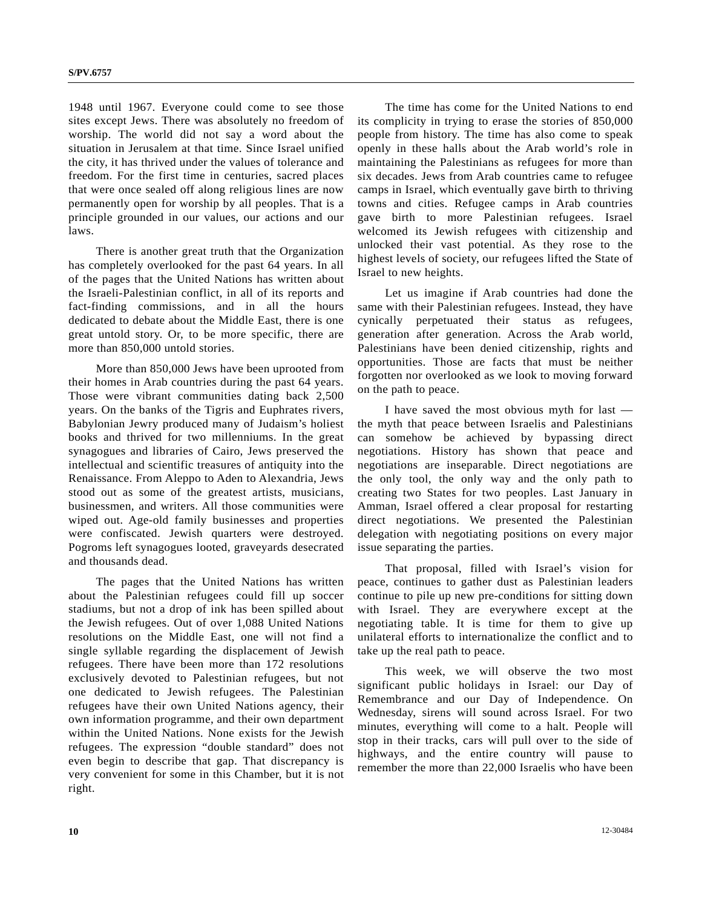1948 until 1967. Everyone could come to see those sites except Jews. There was absolutely no freedom of worship. The world did not say a word about the situation in Jerusalem at that time. Since Israel unified the city, it has thrived under the values of tolerance and freedom. For the first time in centuries, sacred places that were once sealed off along religious lines are now permanently open for worship by all peoples. That is a principle grounded in our values, our actions and our laws.

 There is another great truth that the Organization has completely overlooked for the past 64 years. In all of the pages that the United Nations has written about the Israeli-Palestinian conflict, in all of its reports and fact-finding commissions, and in all the hours dedicated to debate about the Middle East, there is one great untold story. Or, to be more specific, there are more than 850,000 untold stories.

 More than 850,000 Jews have been uprooted from their homes in Arab countries during the past 64 years. Those were vibrant communities dating back 2,500 years. On the banks of the Tigris and Euphrates rivers, Babylonian Jewry produced many of Judaism's holiest books and thrived for two millenniums. In the great synagogues and libraries of Cairo, Jews preserved the intellectual and scientific treasures of antiquity into the Renaissance. From Aleppo to Aden to Alexandria, Jews stood out as some of the greatest artists, musicians, businessmen, and writers. All those communities were wiped out. Age-old family businesses and properties were confiscated. Jewish quarters were destroyed. Pogroms left synagogues looted, graveyards desecrated and thousands dead.

 The pages that the United Nations has written about the Palestinian refugees could fill up soccer stadiums, but not a drop of ink has been spilled about the Jewish refugees. Out of over 1,088 United Nations resolutions on the Middle East, one will not find a single syllable regarding the displacement of Jewish refugees. There have been more than 172 resolutions exclusively devoted to Palestinian refugees, but not one dedicated to Jewish refugees. The Palestinian refugees have their own United Nations agency, their own information programme, and their own department within the United Nations. None exists for the Jewish refugees. The expression "double standard" does not even begin to describe that gap. That discrepancy is very convenient for some in this Chamber, but it is not right.

 The time has come for the United Nations to end its complicity in trying to erase the stories of 850,000 people from history. The time has also come to speak openly in these halls about the Arab world's role in maintaining the Palestinians as refugees for more than six decades. Jews from Arab countries came to refugee camps in Israel, which eventually gave birth to thriving towns and cities. Refugee camps in Arab countries gave birth to more Palestinian refugees. Israel welcomed its Jewish refugees with citizenship and unlocked their vast potential. As they rose to the highest levels of society, our refugees lifted the State of Israel to new heights.

 Let us imagine if Arab countries had done the same with their Palestinian refugees. Instead, they have cynically perpetuated their status as refugees, generation after generation. Across the Arab world, Palestinians have been denied citizenship, rights and opportunities. Those are facts that must be neither forgotten nor overlooked as we look to moving forward on the path to peace.

 I have saved the most obvious myth for last the myth that peace between Israelis and Palestinians can somehow be achieved by bypassing direct negotiations. History has shown that peace and negotiations are inseparable. Direct negotiations are the only tool, the only way and the only path to creating two States for two peoples. Last January in Amman, Israel offered a clear proposal for restarting direct negotiations. We presented the Palestinian delegation with negotiating positions on every major issue separating the parties.

 That proposal, filled with Israel's vision for peace, continues to gather dust as Palestinian leaders continue to pile up new pre-conditions for sitting down with Israel. They are everywhere except at the negotiating table. It is time for them to give up unilateral efforts to internationalize the conflict and to take up the real path to peace.

 This week, we will observe the two most significant public holidays in Israel: our Day of Remembrance and our Day of Independence. On Wednesday, sirens will sound across Israel. For two minutes, everything will come to a halt. People will stop in their tracks, cars will pull over to the side of highways, and the entire country will pause to remember the more than 22,000 Israelis who have been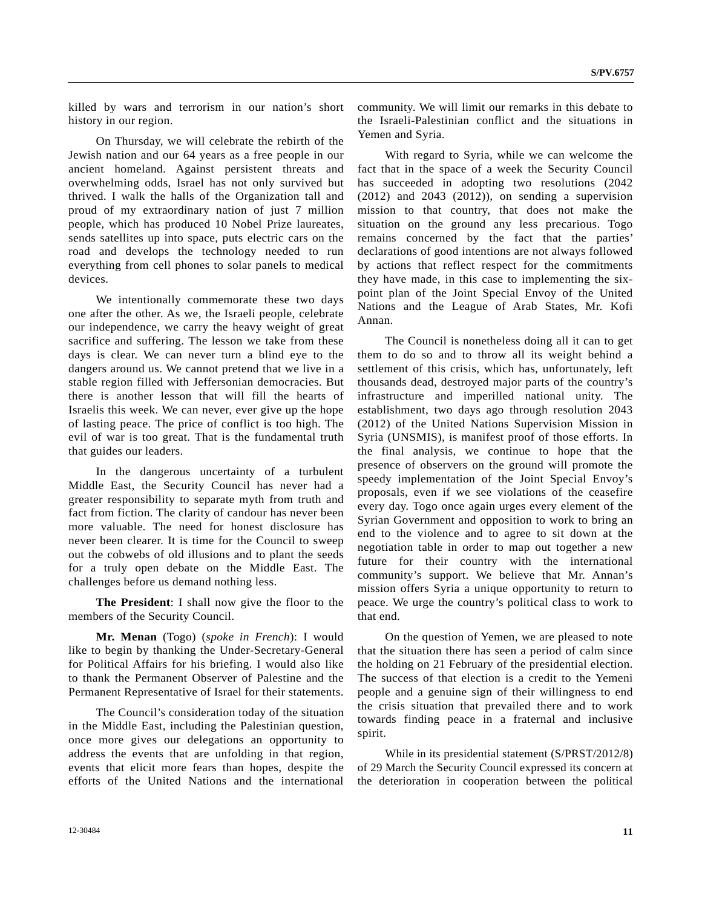killed by wars and terrorism in our nation's short history in our region.

 On Thursday, we will celebrate the rebirth of the Jewish nation and our 64 years as a free people in our ancient homeland. Against persistent threats and overwhelming odds, Israel has not only survived but thrived. I walk the halls of the Organization tall and proud of my extraordinary nation of just 7 million people, which has produced 10 Nobel Prize laureates, sends satellites up into space, puts electric cars on the road and develops the technology needed to run everything from cell phones to solar panels to medical devices.

 We intentionally commemorate these two days one after the other. As we, the Israeli people, celebrate our independence, we carry the heavy weight of great sacrifice and suffering. The lesson we take from these days is clear. We can never turn a blind eye to the dangers around us. We cannot pretend that we live in a stable region filled with Jeffersonian democracies. But there is another lesson that will fill the hearts of Israelis this week. We can never, ever give up the hope of lasting peace. The price of conflict is too high. The evil of war is too great. That is the fundamental truth that guides our leaders.

 In the dangerous uncertainty of a turbulent Middle East, the Security Council has never had a greater responsibility to separate myth from truth and fact from fiction. The clarity of candour has never been more valuable. The need for honest disclosure has never been clearer. It is time for the Council to sweep out the cobwebs of old illusions and to plant the seeds for a truly open debate on the Middle East. The challenges before us demand nothing less.

**The President**: I shall now give the floor to the members of the Security Council.

**Mr. Menan** (Togo) (*spoke in French*): I would like to begin by thanking the Under-Secretary-General for Political Affairs for his briefing. I would also like to thank the Permanent Observer of Palestine and the Permanent Representative of Israel for their statements.

 The Council's consideration today of the situation in the Middle East, including the Palestinian question, once more gives our delegations an opportunity to address the events that are unfolding in that region, events that elicit more fears than hopes, despite the efforts of the United Nations and the international community. We will limit our remarks in this debate to the Israeli-Palestinian conflict and the situations in Yemen and Syria.

 With regard to Syria, while we can welcome the fact that in the space of a week the Security Council has succeeded in adopting two resolutions (2042  $(2012)$  and  $2043$   $(2012)$ , on sending a supervision mission to that country, that does not make the situation on the ground any less precarious. Togo remains concerned by the fact that the parties' declarations of good intentions are not always followed by actions that reflect respect for the commitments they have made, in this case to implementing the sixpoint plan of the Joint Special Envoy of the United Nations and the League of Arab States, Mr. Kofi Annan.

 The Council is nonetheless doing all it can to get them to do so and to throw all its weight behind a settlement of this crisis, which has, unfortunately, left thousands dead, destroyed major parts of the country's infrastructure and imperilled national unity. The establishment, two days ago through resolution 2043 (2012) of the United Nations Supervision Mission in Syria (UNSMIS), is manifest proof of those efforts. In the final analysis, we continue to hope that the presence of observers on the ground will promote the speedy implementation of the Joint Special Envoy's proposals, even if we see violations of the ceasefire every day. Togo once again urges every element of the Syrian Government and opposition to work to bring an end to the violence and to agree to sit down at the negotiation table in order to map out together a new future for their country with the international community's support. We believe that Mr. Annan's mission offers Syria a unique opportunity to return to peace. We urge the country's political class to work to that end.

 On the question of Yemen, we are pleased to note that the situation there has seen a period of calm since the holding on 21 February of the presidential election. The success of that election is a credit to the Yemeni people and a genuine sign of their willingness to end the crisis situation that prevailed there and to work towards finding peace in a fraternal and inclusive spirit.

While in its presidential statement (S/PRST/2012/8) of 29 March the Security Council expressed its concern at the deterioration in cooperation between the political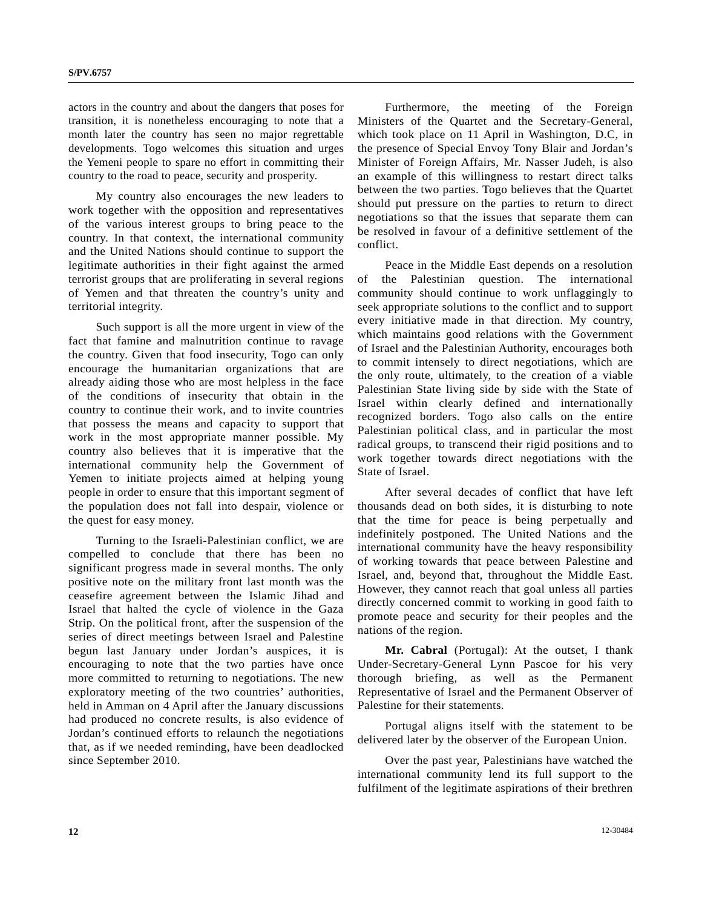actors in the country and about the dangers that poses for transition, it is nonetheless encouraging to note that a month later the country has seen no major regrettable developments. Togo welcomes this situation and urges the Yemeni people to spare no effort in committing their country to the road to peace, security and prosperity.

 My country also encourages the new leaders to work together with the opposition and representatives of the various interest groups to bring peace to the country. In that context, the international community and the United Nations should continue to support the legitimate authorities in their fight against the armed terrorist groups that are proliferating in several regions of Yemen and that threaten the country's unity and territorial integrity.

 Such support is all the more urgent in view of the fact that famine and malnutrition continue to ravage the country. Given that food insecurity, Togo can only encourage the humanitarian organizations that are already aiding those who are most helpless in the face of the conditions of insecurity that obtain in the country to continue their work, and to invite countries that possess the means and capacity to support that work in the most appropriate manner possible. My country also believes that it is imperative that the international community help the Government of Yemen to initiate projects aimed at helping young people in order to ensure that this important segment of the population does not fall into despair, violence or the quest for easy money.

 Turning to the Israeli-Palestinian conflict, we are compelled to conclude that there has been no significant progress made in several months. The only positive note on the military front last month was the ceasefire agreement between the Islamic Jihad and Israel that halted the cycle of violence in the Gaza Strip. On the political front, after the suspension of the series of direct meetings between Israel and Palestine begun last January under Jordan's auspices, it is encouraging to note that the two parties have once more committed to returning to negotiations. The new exploratory meeting of the two countries' authorities, held in Amman on 4 April after the January discussions had produced no concrete results, is also evidence of Jordan's continued efforts to relaunch the negotiations that, as if we needed reminding, have been deadlocked since September 2010.

 Furthermore, the meeting of the Foreign Ministers of the Quartet and the Secretary-General, which took place on 11 April in Washington, D.C, in the presence of Special Envoy Tony Blair and Jordan's Minister of Foreign Affairs, Mr. Nasser Judeh, is also an example of this willingness to restart direct talks between the two parties. Togo believes that the Quartet should put pressure on the parties to return to direct negotiations so that the issues that separate them can be resolved in favour of a definitive settlement of the conflict.

 Peace in the Middle East depends on a resolution of the Palestinian question. The international community should continue to work unflaggingly to seek appropriate solutions to the conflict and to support every initiative made in that direction. My country, which maintains good relations with the Government of Israel and the Palestinian Authority, encourages both to commit intensely to direct negotiations, which are the only route, ultimately, to the creation of a viable Palestinian State living side by side with the State of Israel within clearly defined and internationally recognized borders. Togo also calls on the entire Palestinian political class, and in particular the most radical groups, to transcend their rigid positions and to work together towards direct negotiations with the State of Israel.

 After several decades of conflict that have left thousands dead on both sides, it is disturbing to note that the time for peace is being perpetually and indefinitely postponed. The United Nations and the international community have the heavy responsibility of working towards that peace between Palestine and Israel, and, beyond that, throughout the Middle East. However, they cannot reach that goal unless all parties directly concerned commit to working in good faith to promote peace and security for their peoples and the nations of the region.

**Mr. Cabral** (Portugal): At the outset, I thank Under-Secretary-General Lynn Pascoe for his very thorough briefing, as well as the Permanent Representative of Israel and the Permanent Observer of Palestine for their statements.

 Portugal aligns itself with the statement to be delivered later by the observer of the European Union.

 Over the past year, Palestinians have watched the international community lend its full support to the fulfilment of the legitimate aspirations of their brethren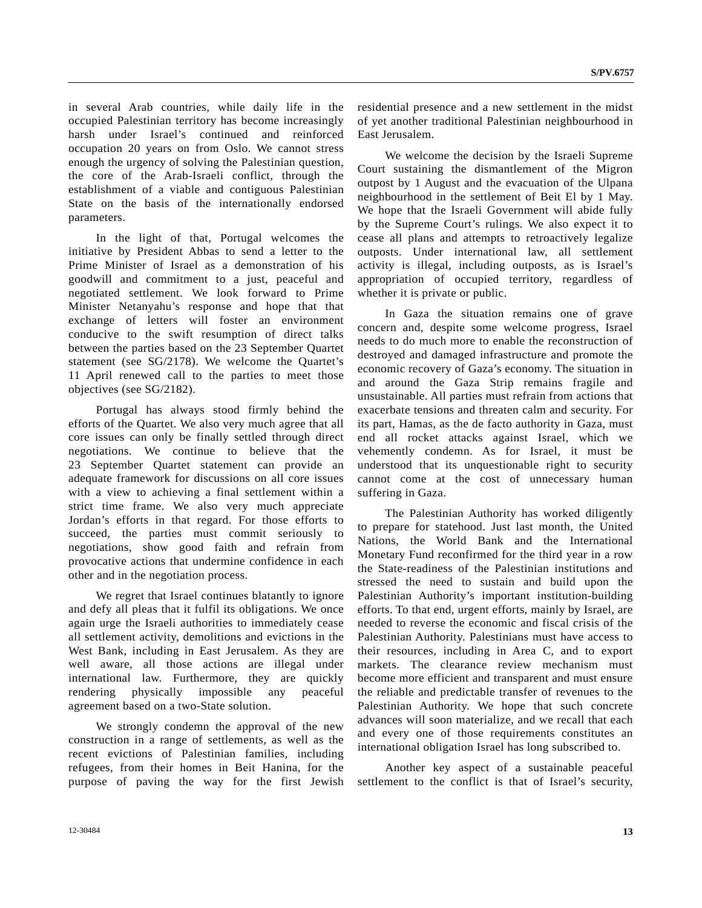in several Arab countries, while daily life in the occupied Palestinian territory has become increasingly harsh under Israel's continued and reinforced occupation 20 years on from Oslo. We cannot stress enough the urgency of solving the Palestinian question, the core of the Arab-Israeli conflict, through the establishment of a viable and contiguous Palestinian State on the basis of the internationally endorsed parameters.

 In the light of that, Portugal welcomes the initiative by President Abbas to send a letter to the Prime Minister of Israel as a demonstration of his goodwill and commitment to a just, peaceful and negotiated settlement. We look forward to Prime Minister Netanyahu's response and hope that that exchange of letters will foster an environment conducive to the swift resumption of direct talks between the parties based on the 23 September Quartet statement (see SG/2178). We welcome the Quartet's 11 April renewed call to the parties to meet those objectives (see SG/2182).

 Portugal has always stood firmly behind the efforts of the Quartet. We also very much agree that all core issues can only be finally settled through direct negotiations. We continue to believe that the 23 September Quartet statement can provide an adequate framework for discussions on all core issues with a view to achieving a final settlement within a strict time frame. We also very much appreciate Jordan's efforts in that regard. For those efforts to succeed, the parties must commit seriously to negotiations, show good faith and refrain from provocative actions that undermine confidence in each other and in the negotiation process.

 We regret that Israel continues blatantly to ignore and defy all pleas that it fulfil its obligations. We once again urge the Israeli authorities to immediately cease all settlement activity, demolitions and evictions in the West Bank, including in East Jerusalem. As they are well aware, all those actions are illegal under international law. Furthermore, they are quickly rendering physically impossible any peaceful agreement based on a two-State solution.

 We strongly condemn the approval of the new construction in a range of settlements, as well as the recent evictions of Palestinian families, including refugees, from their homes in Beit Hanina, for the purpose of paving the way for the first Jewish

Court sustaining the dismantlement of the Migron outpost by 1 August and the evacuation of the Ulpana neighbourhood in the settlement of Beit El by 1 May. We hope that the Israeli Government will abide fully by the Supreme Court's rulings. We also expect it to cease all plans and attempts to retroactively legalize outposts. Under international law, all settlement activity is illegal, including outposts, as is Israel's appropriation of occupied territory, regardless of whether it is private or public.

residential presence and a new settlement in the midst of yet another traditional Palestinian neighbourhood in

 In Gaza the situation remains one of grave concern and, despite some welcome progress, Israel needs to do much more to enable the reconstruction of destroyed and damaged infrastructure and promote the economic recovery of Gaza's economy. The situation in and around the Gaza Strip remains fragile and unsustainable. All parties must refrain from actions that exacerbate tensions and threaten calm and security. For its part, Hamas, as the de facto authority in Gaza, must end all rocket attacks against Israel, which we vehemently condemn. As for Israel, it must be understood that its unquestionable right to security cannot come at the cost of unnecessary human suffering in Gaza.

 The Palestinian Authority has worked diligently to prepare for statehood. Just last month, the United Nations, the World Bank and the International Monetary Fund reconfirmed for the third year in a row the State-readiness of the Palestinian institutions and stressed the need to sustain and build upon the Palestinian Authority's important institution-building efforts. To that end, urgent efforts, mainly by Israel, are needed to reverse the economic and fiscal crisis of the Palestinian Authority. Palestinians must have access to their resources, including in Area C, and to export markets. The clearance review mechanism must become more efficient and transparent and must ensure the reliable and predictable transfer of revenues to the Palestinian Authority. We hope that such concrete advances will soon materialize, and we recall that each and every one of those requirements constitutes an international obligation Israel has long subscribed to.

 Another key aspect of a sustainable peaceful settlement to the conflict is that of Israel's security,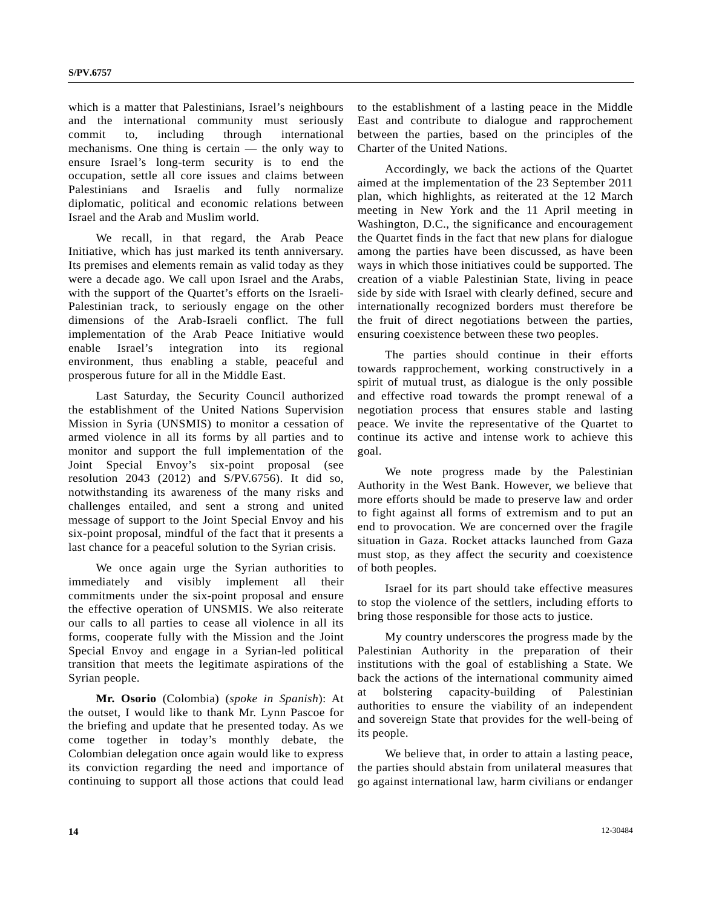which is a matter that Palestinians, Israel's neighbours and the international community must seriously commit to, including through international mechanisms. One thing is certain — the only way to ensure Israel's long-term security is to end the occupation, settle all core issues and claims between Palestinians and Israelis and fully normalize diplomatic, political and economic relations between Israel and the Arab and Muslim world.

 We recall, in that regard, the Arab Peace Initiative, which has just marked its tenth anniversary. Its premises and elements remain as valid today as they were a decade ago. We call upon Israel and the Arabs, with the support of the Quartet's efforts on the Israeli-Palestinian track, to seriously engage on the other dimensions of the Arab-Israeli conflict. The full implementation of the Arab Peace Initiative would enable Israel's integration into its regional environment, thus enabling a stable, peaceful and prosperous future for all in the Middle East.

 Last Saturday, the Security Council authorized the establishment of the United Nations Supervision Mission in Syria (UNSMIS) to monitor a cessation of armed violence in all its forms by all parties and to monitor and support the full implementation of the Joint Special Envoy's six-point proposal (see resolution 2043 (2012) and S/PV.6756). It did so, notwithstanding its awareness of the many risks and challenges entailed, and sent a strong and united message of support to the Joint Special Envoy and his six-point proposal, mindful of the fact that it presents a last chance for a peaceful solution to the Syrian crisis.

 We once again urge the Syrian authorities to immediately and visibly implement all their commitments under the six-point proposal and ensure the effective operation of UNSMIS. We also reiterate our calls to all parties to cease all violence in all its forms, cooperate fully with the Mission and the Joint Special Envoy and engage in a Syrian-led political transition that meets the legitimate aspirations of the Syrian people.

**Mr. Osorio** (Colombia) (*spoke in Spanish*): At the outset, I would like to thank Mr. Lynn Pascoe for the briefing and update that he presented today. As we come together in today's monthly debate, the Colombian delegation once again would like to express its conviction regarding the need and importance of continuing to support all those actions that could lead

to the establishment of a lasting peace in the Middle East and contribute to dialogue and rapprochement between the parties, based on the principles of the Charter of the United Nations.

 Accordingly, we back the actions of the Quartet aimed at the implementation of the 23 September 2011 plan, which highlights, as reiterated at the 12 March meeting in New York and the 11 April meeting in Washington, D.C., the significance and encouragement the Quartet finds in the fact that new plans for dialogue among the parties have been discussed, as have been ways in which those initiatives could be supported. The creation of a viable Palestinian State, living in peace side by side with Israel with clearly defined, secure and internationally recognized borders must therefore be the fruit of direct negotiations between the parties, ensuring coexistence between these two peoples.

 The parties should continue in their efforts towards rapprochement, working constructively in a spirit of mutual trust, as dialogue is the only possible and effective road towards the prompt renewal of a negotiation process that ensures stable and lasting peace. We invite the representative of the Quartet to continue its active and intense work to achieve this goal.

 We note progress made by the Palestinian Authority in the West Bank. However, we believe that more efforts should be made to preserve law and order to fight against all forms of extremism and to put an end to provocation. We are concerned over the fragile situation in Gaza. Rocket attacks launched from Gaza must stop, as they affect the security and coexistence of both peoples.

 Israel for its part should take effective measures to stop the violence of the settlers, including efforts to bring those responsible for those acts to justice.

 My country underscores the progress made by the Palestinian Authority in the preparation of their institutions with the goal of establishing a State. We back the actions of the international community aimed at bolstering capacity-building of Palestinian authorities to ensure the viability of an independent and sovereign State that provides for the well-being of its people.

 We believe that, in order to attain a lasting peace, the parties should abstain from unilateral measures that go against international law, harm civilians or endanger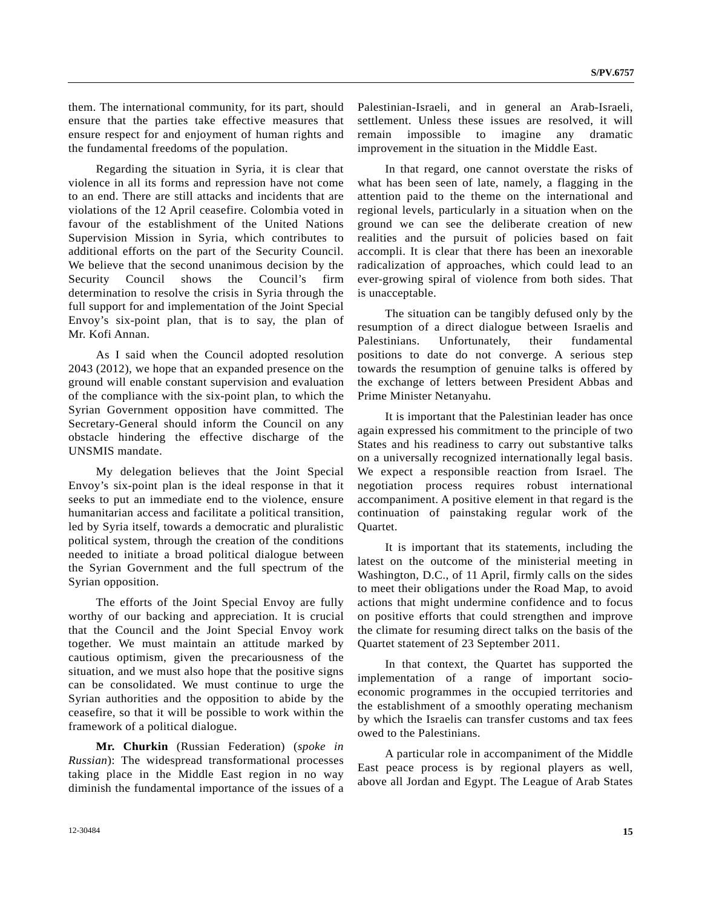them. The international community, for its part, should ensure that the parties take effective measures that ensure respect for and enjoyment of human rights and the fundamental freedoms of the population.

 Regarding the situation in Syria, it is clear that violence in all its forms and repression have not come to an end. There are still attacks and incidents that are violations of the 12 April ceasefire. Colombia voted in favour of the establishment of the United Nations Supervision Mission in Syria, which contributes to additional efforts on the part of the Security Council. We believe that the second unanimous decision by the Security Council shows the Council's firm determination to resolve the crisis in Syria through the full support for and implementation of the Joint Special Envoy's six-point plan, that is to say, the plan of Mr. Kofi Annan.

 As I said when the Council adopted resolution 2043 (2012), we hope that an expanded presence on the ground will enable constant supervision and evaluation of the compliance with the six-point plan, to which the Syrian Government opposition have committed. The Secretary-General should inform the Council on any obstacle hindering the effective discharge of the UNSMIS mandate.

 My delegation believes that the Joint Special Envoy's six-point plan is the ideal response in that it seeks to put an immediate end to the violence, ensure humanitarian access and facilitate a political transition, led by Syria itself, towards a democratic and pluralistic political system, through the creation of the conditions needed to initiate a broad political dialogue between the Syrian Government and the full spectrum of the Syrian opposition.

 The efforts of the Joint Special Envoy are fully worthy of our backing and appreciation. It is crucial that the Council and the Joint Special Envoy work together. We must maintain an attitude marked by cautious optimism, given the precariousness of the situation, and we must also hope that the positive signs can be consolidated. We must continue to urge the Syrian authorities and the opposition to abide by the ceasefire, so that it will be possible to work within the framework of a political dialogue.

**Mr. Churkin** (Russian Federation) (*spoke in Russian*): The widespread transformational processes taking place in the Middle East region in no way diminish the fundamental importance of the issues of a Palestinian-Israeli, and in general an Arab-Israeli, settlement. Unless these issues are resolved, it will remain impossible to imagine any dramatic improvement in the situation in the Middle East.

 In that regard, one cannot overstate the risks of what has been seen of late, namely, a flagging in the attention paid to the theme on the international and regional levels, particularly in a situation when on the ground we can see the deliberate creation of new realities and the pursuit of policies based on fait accompli. It is clear that there has been an inexorable radicalization of approaches, which could lead to an ever-growing spiral of violence from both sides. That is unacceptable.

 The situation can be tangibly defused only by the resumption of a direct dialogue between Israelis and Palestinians. Unfortunately, their fundamental positions to date do not converge. A serious step towards the resumption of genuine talks is offered by the exchange of letters between President Abbas and Prime Minister Netanyahu.

 It is important that the Palestinian leader has once again expressed his commitment to the principle of two States and his readiness to carry out substantive talks on a universally recognized internationally legal basis. We expect a responsible reaction from Israel. The negotiation process requires robust international accompaniment. A positive element in that regard is the continuation of painstaking regular work of the Quartet.

 It is important that its statements, including the latest on the outcome of the ministerial meeting in Washington, D.C., of 11 April, firmly calls on the sides to meet their obligations under the Road Map, to avoid actions that might undermine confidence and to focus on positive efforts that could strengthen and improve the climate for resuming direct talks on the basis of the Quartet statement of 23 September 2011.

 In that context, the Quartet has supported the implementation of a range of important socioeconomic programmes in the occupied territories and the establishment of a smoothly operating mechanism by which the Israelis can transfer customs and tax fees owed to the Palestinians.

 A particular role in accompaniment of the Middle East peace process is by regional players as well, above all Jordan and Egypt. The League of Arab States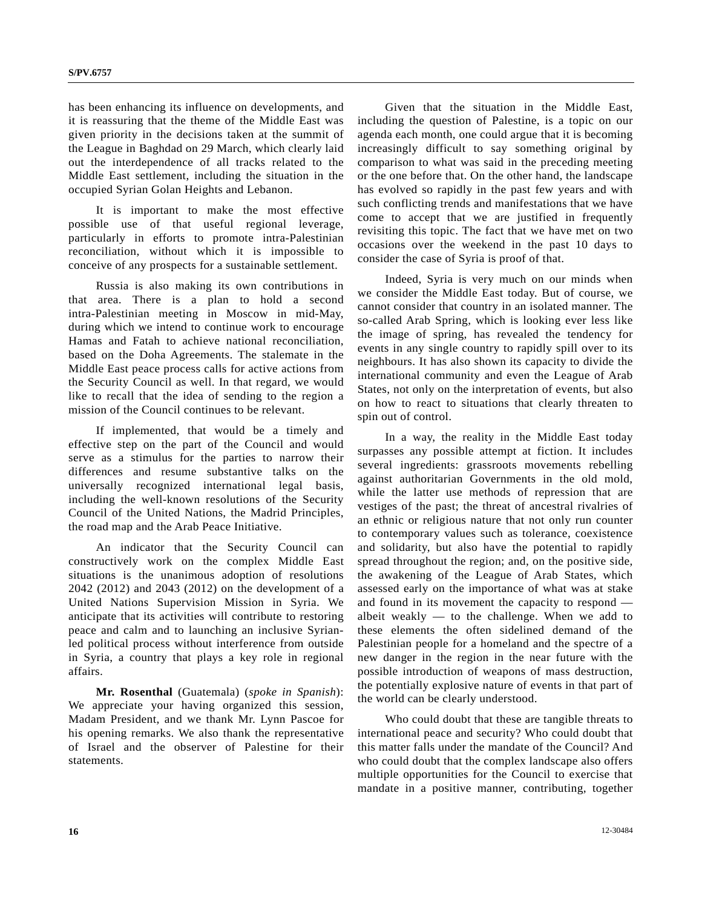has been enhancing its influence on developments, and it is reassuring that the theme of the Middle East was given priority in the decisions taken at the summit of the League in Baghdad on 29 March, which clearly laid out the interdependence of all tracks related to the Middle East settlement, including the situation in the occupied Syrian Golan Heights and Lebanon.

 It is important to make the most effective possible use of that useful regional leverage, particularly in efforts to promote intra-Palestinian reconciliation, without which it is impossible to conceive of any prospects for a sustainable settlement.

 Russia is also making its own contributions in that area. There is a plan to hold a second intra-Palestinian meeting in Moscow in mid-May, during which we intend to continue work to encourage Hamas and Fatah to achieve national reconciliation, based on the Doha Agreements. The stalemate in the Middle East peace process calls for active actions from the Security Council as well. In that regard, we would like to recall that the idea of sending to the region a mission of the Council continues to be relevant.

 If implemented, that would be a timely and effective step on the part of the Council and would serve as a stimulus for the parties to narrow their differences and resume substantive talks on the universally recognized international legal basis, including the well-known resolutions of the Security Council of the United Nations, the Madrid Principles, the road map and the Arab Peace Initiative.

 An indicator that the Security Council can constructively work on the complex Middle East situations is the unanimous adoption of resolutions 2042 (2012) and 2043 (2012) on the development of a United Nations Supervision Mission in Syria. We anticipate that its activities will contribute to restoring peace and calm and to launching an inclusive Syrianled political process without interference from outside in Syria, a country that plays a key role in regional affairs.

**Mr. Rosenthal** (Guatemala) (*spoke in Spanish*): We appreciate your having organized this session, Madam President, and we thank Mr. Lynn Pascoe for his opening remarks. We also thank the representative of Israel and the observer of Palestine for their statements.

 Given that the situation in the Middle East, including the question of Palestine, is a topic on our agenda each month, one could argue that it is becoming increasingly difficult to say something original by comparison to what was said in the preceding meeting or the one before that. On the other hand, the landscape has evolved so rapidly in the past few years and with such conflicting trends and manifestations that we have come to accept that we are justified in frequently revisiting this topic. The fact that we have met on two occasions over the weekend in the past 10 days to consider the case of Syria is proof of that.

 Indeed, Syria is very much on our minds when we consider the Middle East today. But of course, we cannot consider that country in an isolated manner. The so-called Arab Spring, which is looking ever less like the image of spring, has revealed the tendency for events in any single country to rapidly spill over to its neighbours. It has also shown its capacity to divide the international community and even the League of Arab States, not only on the interpretation of events, but also on how to react to situations that clearly threaten to spin out of control.

 In a way, the reality in the Middle East today surpasses any possible attempt at fiction. It includes several ingredients: grassroots movements rebelling against authoritarian Governments in the old mold, while the latter use methods of repression that are vestiges of the past; the threat of ancestral rivalries of an ethnic or religious nature that not only run counter to contemporary values such as tolerance, coexistence and solidarity, but also have the potential to rapidly spread throughout the region; and, on the positive side, the awakening of the League of Arab States, which assessed early on the importance of what was at stake and found in its movement the capacity to respond albeit weakly  $-$  to the challenge. When we add to these elements the often sidelined demand of the Palestinian people for a homeland and the spectre of a new danger in the region in the near future with the possible introduction of weapons of mass destruction, the potentially explosive nature of events in that part of the world can be clearly understood.

 Who could doubt that these are tangible threats to international peace and security? Who could doubt that this matter falls under the mandate of the Council? And who could doubt that the complex landscape also offers multiple opportunities for the Council to exercise that mandate in a positive manner, contributing, together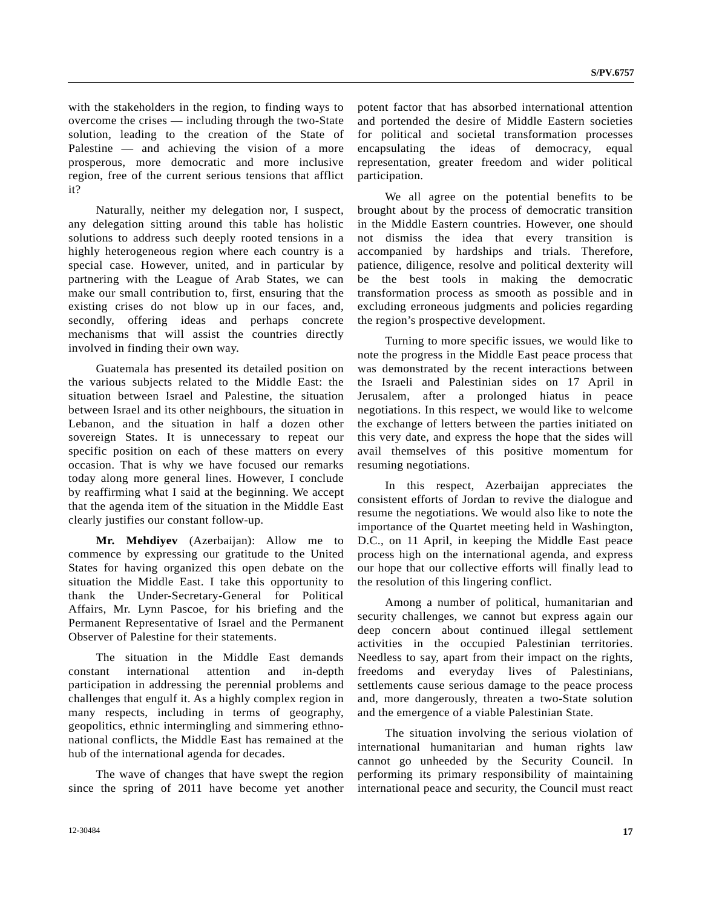with the stakeholders in the region, to finding ways to overcome the crises — including through the two-State solution, leading to the creation of the State of Palestine — and achieving the vision of a more prosperous, more democratic and more inclusive region, free of the current serious tensions that afflict it?

 Naturally, neither my delegation nor, I suspect, any delegation sitting around this table has holistic solutions to address such deeply rooted tensions in a highly heterogeneous region where each country is a special case. However, united, and in particular by partnering with the League of Arab States, we can make our small contribution to, first, ensuring that the existing crises do not blow up in our faces, and, secondly, offering ideas and perhaps concrete mechanisms that will assist the countries directly involved in finding their own way.

 Guatemala has presented its detailed position on the various subjects related to the Middle East: the situation between Israel and Palestine, the situation between Israel and its other neighbours, the situation in Lebanon, and the situation in half a dozen other sovereign States. It is unnecessary to repeat our specific position on each of these matters on every occasion. That is why we have focused our remarks today along more general lines. However, I conclude by reaffirming what I said at the beginning. We accept that the agenda item of the situation in the Middle East clearly justifies our constant follow-up.

**Mr. Mehdiyev** (Azerbaijan): Allow me to commence by expressing our gratitude to the United States for having organized this open debate on the situation the Middle East. I take this opportunity to thank the Under-Secretary-General for Political Affairs, Mr. Lynn Pascoe, for his briefing and the Permanent Representative of Israel and the Permanent Observer of Palestine for their statements.

 The situation in the Middle East demands constant international attention and in-depth participation in addressing the perennial problems and challenges that engulf it. As a highly complex region in many respects, including in terms of geography, geopolitics, ethnic intermingling and simmering ethnonational conflicts, the Middle East has remained at the hub of the international agenda for decades.

 The wave of changes that have swept the region since the spring of 2011 have become yet another potent factor that has absorbed international attention and portended the desire of Middle Eastern societies for political and societal transformation processes encapsulating the ideas of democracy, equal representation, greater freedom and wider political participation.

 We all agree on the potential benefits to be brought about by the process of democratic transition in the Middle Eastern countries. However, one should not dismiss the idea that every transition is accompanied by hardships and trials. Therefore, patience, diligence, resolve and political dexterity will be the best tools in making the democratic transformation process as smooth as possible and in excluding erroneous judgments and policies regarding the region's prospective development.

 Turning to more specific issues, we would like to note the progress in the Middle East peace process that was demonstrated by the recent interactions between the Israeli and Palestinian sides on 17 April in Jerusalem, after a prolonged hiatus in peace negotiations. In this respect, we would like to welcome the exchange of letters between the parties initiated on this very date, and express the hope that the sides will avail themselves of this positive momentum for resuming negotiations.

 In this respect, Azerbaijan appreciates the consistent efforts of Jordan to revive the dialogue and resume the negotiations. We would also like to note the importance of the Quartet meeting held in Washington, D.C., on 11 April, in keeping the Middle East peace process high on the international agenda, and express our hope that our collective efforts will finally lead to the resolution of this lingering conflict.

 Among a number of political, humanitarian and security challenges, we cannot but express again our deep concern about continued illegal settlement activities in the occupied Palestinian territories. Needless to say, apart from their impact on the rights, freedoms and everyday lives of Palestinians, settlements cause serious damage to the peace process and, more dangerously, threaten a two-State solution and the emergence of a viable Palestinian State.

 The situation involving the serious violation of international humanitarian and human rights law cannot go unheeded by the Security Council. In performing its primary responsibility of maintaining international peace and security, the Council must react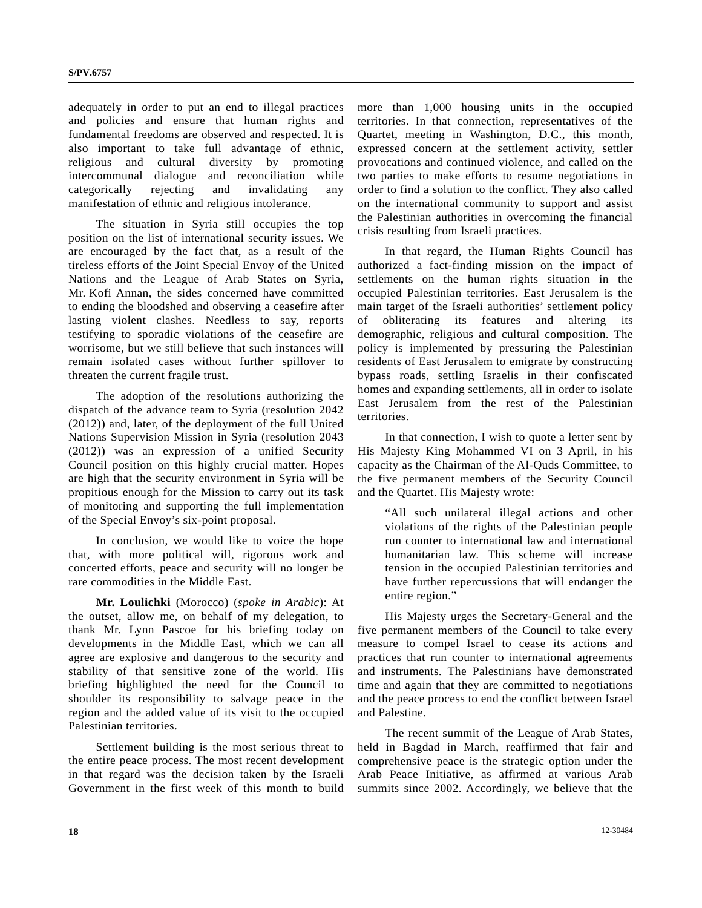adequately in order to put an end to illegal practices and policies and ensure that human rights and fundamental freedoms are observed and respected. It is also important to take full advantage of ethnic, religious and cultural diversity by promoting intercommunal dialogue and reconciliation while categorically rejecting and invalidating any manifestation of ethnic and religious intolerance.

 The situation in Syria still occupies the top position on the list of international security issues. We are encouraged by the fact that, as a result of the tireless efforts of the Joint Special Envoy of the United Nations and the League of Arab States on Syria, Mr. Kofi Annan, the sides concerned have committed to ending the bloodshed and observing a ceasefire after lasting violent clashes. Needless to say, reports testifying to sporadic violations of the ceasefire are worrisome, but we still believe that such instances will remain isolated cases without further spillover to threaten the current fragile trust.

 The adoption of the resolutions authorizing the dispatch of the advance team to Syria (resolution 2042 (2012)) and, later, of the deployment of the full United Nations Supervision Mission in Syria (resolution 2043 (2012)) was an expression of a unified Security Council position on this highly crucial matter. Hopes are high that the security environment in Syria will be propitious enough for the Mission to carry out its task of monitoring and supporting the full implementation of the Special Envoy's six-point proposal.

 In conclusion, we would like to voice the hope that, with more political will, rigorous work and concerted efforts, peace and security will no longer be rare commodities in the Middle East.

**Mr. Loulichki** (Morocco) (*spoke in Arabic*): At the outset, allow me, on behalf of my delegation, to thank Mr. Lynn Pascoe for his briefing today on developments in the Middle East, which we can all agree are explosive and dangerous to the security and stability of that sensitive zone of the world. His briefing highlighted the need for the Council to shoulder its responsibility to salvage peace in the region and the added value of its visit to the occupied Palestinian territories.

 Settlement building is the most serious threat to the entire peace process. The most recent development in that regard was the decision taken by the Israeli Government in the first week of this month to build more than 1,000 housing units in the occupied territories. In that connection, representatives of the Quartet, meeting in Washington, D.C., this month, expressed concern at the settlement activity, settler provocations and continued violence, and called on the two parties to make efforts to resume negotiations in order to find a solution to the conflict. They also called on the international community to support and assist the Palestinian authorities in overcoming the financial crisis resulting from Israeli practices.

 In that regard, the Human Rights Council has authorized a fact-finding mission on the impact of settlements on the human rights situation in the occupied Palestinian territories. East Jerusalem is the main target of the Israeli authorities' settlement policy of obliterating its features and altering its demographic, religious and cultural composition. The policy is implemented by pressuring the Palestinian residents of East Jerusalem to emigrate by constructing bypass roads, settling Israelis in their confiscated homes and expanding settlements, all in order to isolate East Jerusalem from the rest of the Palestinian territories.

 In that connection, I wish to quote a letter sent by His Majesty King Mohammed VI on 3 April, in his capacity as the Chairman of the Al-Quds Committee, to the five permanent members of the Security Council and the Quartet. His Majesty wrote:

 "All such unilateral illegal actions and other violations of the rights of the Palestinian people run counter to international law and international humanitarian law. This scheme will increase tension in the occupied Palestinian territories and have further repercussions that will endanger the entire region."

 His Majesty urges the Secretary-General and the five permanent members of the Council to take every measure to compel Israel to cease its actions and practices that run counter to international agreements and instruments. The Palestinians have demonstrated time and again that they are committed to negotiations and the peace process to end the conflict between Israel and Palestine.

 The recent summit of the League of Arab States, held in Bagdad in March, reaffirmed that fair and comprehensive peace is the strategic option under the Arab Peace Initiative, as affirmed at various Arab summits since 2002. Accordingly, we believe that the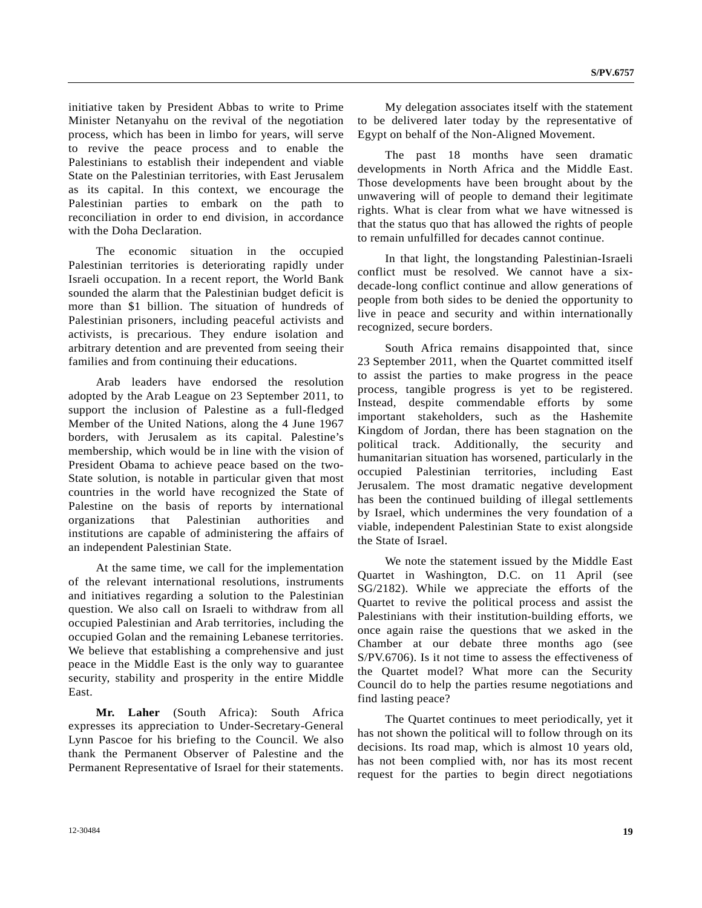initiative taken by President Abbas to write to Prime Minister Netanyahu on the revival of the negotiation process, which has been in limbo for years, will serve to revive the peace process and to enable the Palestinians to establish their independent and viable State on the Palestinian territories, with East Jerusalem as its capital. In this context, we encourage the Palestinian parties to embark on the path to reconciliation in order to end division, in accordance with the Doha Declaration.

 The economic situation in the occupied Palestinian territories is deteriorating rapidly under Israeli occupation. In a recent report, the World Bank sounded the alarm that the Palestinian budget deficit is more than \$1 billion. The situation of hundreds of Palestinian prisoners, including peaceful activists and activists, is precarious. They endure isolation and arbitrary detention and are prevented from seeing their families and from continuing their educations.

 Arab leaders have endorsed the resolution adopted by the Arab League on 23 September 2011, to support the inclusion of Palestine as a full-fledged Member of the United Nations, along the 4 June 1967 borders, with Jerusalem as its capital. Palestine's membership, which would be in line with the vision of President Obama to achieve peace based on the two-State solution, is notable in particular given that most countries in the world have recognized the State of Palestine on the basis of reports by international organizations that Palestinian authorities and institutions are capable of administering the affairs of an independent Palestinian State.

 At the same time, we call for the implementation of the relevant international resolutions, instruments and initiatives regarding a solution to the Palestinian question. We also call on Israeli to withdraw from all occupied Palestinian and Arab territories, including the occupied Golan and the remaining Lebanese territories. We believe that establishing a comprehensive and just peace in the Middle East is the only way to guarantee security, stability and prosperity in the entire Middle East.

**Mr. Laher** (South Africa): South Africa expresses its appreciation to Under-Secretary-General Lynn Pascoe for his briefing to the Council. We also thank the Permanent Observer of Palestine and the Permanent Representative of Israel for their statements.

 My delegation associates itself with the statement to be delivered later today by the representative of Egypt on behalf of the Non-Aligned Movement.

 The past 18 months have seen dramatic developments in North Africa and the Middle East. Those developments have been brought about by the unwavering will of people to demand their legitimate rights. What is clear from what we have witnessed is that the status quo that has allowed the rights of people to remain unfulfilled for decades cannot continue.

 In that light, the longstanding Palestinian-Israeli conflict must be resolved. We cannot have a sixdecade-long conflict continue and allow generations of people from both sides to be denied the opportunity to live in peace and security and within internationally recognized, secure borders.

 South Africa remains disappointed that, since 23 September 2011, when the Quartet committed itself to assist the parties to make progress in the peace process, tangible progress is yet to be registered. Instead, despite commendable efforts by some important stakeholders, such as the Hashemite Kingdom of Jordan, there has been stagnation on the political track. Additionally, the security and humanitarian situation has worsened, particularly in the occupied Palestinian territories, including East Jerusalem. The most dramatic negative development has been the continued building of illegal settlements by Israel, which undermines the very foundation of a viable, independent Palestinian State to exist alongside the State of Israel.

 We note the statement issued by the Middle East Quartet in Washington, D.C. on 11 April (see SG/2182). While we appreciate the efforts of the Quartet to revive the political process and assist the Palestinians with their institution-building efforts, we once again raise the questions that we asked in the Chamber at our debate three months ago (see S/PV.6706). Is it not time to assess the effectiveness of the Quartet model? What more can the Security Council do to help the parties resume negotiations and find lasting peace?

 The Quartet continues to meet periodically, yet it has not shown the political will to follow through on its decisions. Its road map, which is almost 10 years old, has not been complied with, nor has its most recent request for the parties to begin direct negotiations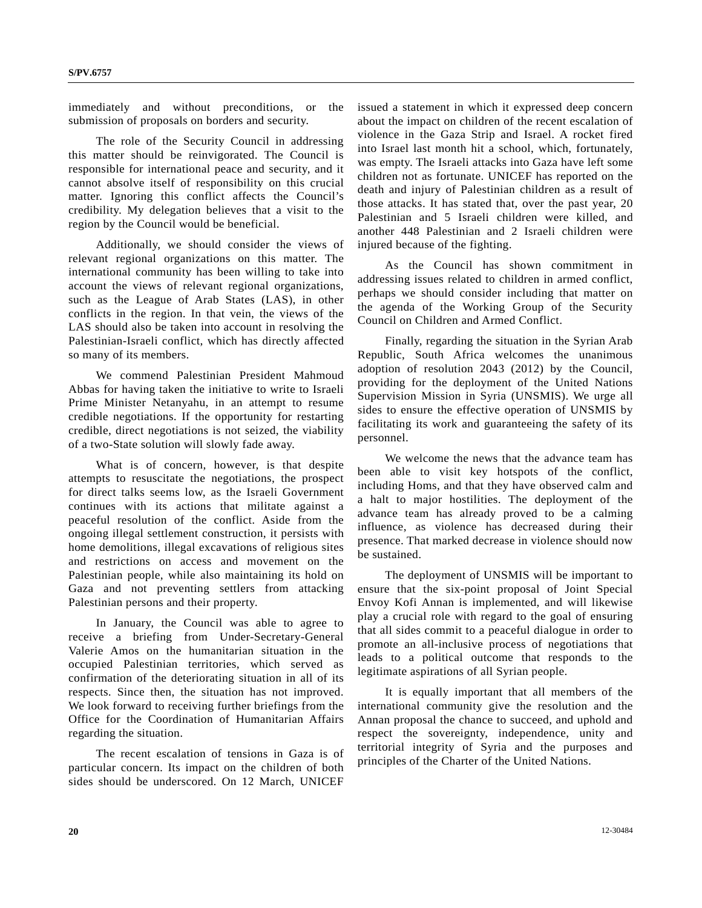immediately and without preconditions, or the submission of proposals on borders and security.

 The role of the Security Council in addressing this matter should be reinvigorated. The Council is responsible for international peace and security, and it cannot absolve itself of responsibility on this crucial matter. Ignoring this conflict affects the Council's credibility. My delegation believes that a visit to the region by the Council would be beneficial.

 Additionally, we should consider the views of relevant regional organizations on this matter. The international community has been willing to take into account the views of relevant regional organizations, such as the League of Arab States (LAS), in other conflicts in the region. In that vein, the views of the LAS should also be taken into account in resolving the Palestinian-Israeli conflict, which has directly affected so many of its members.

 We commend Palestinian President Mahmoud Abbas for having taken the initiative to write to Israeli Prime Minister Netanyahu, in an attempt to resume credible negotiations. If the opportunity for restarting credible, direct negotiations is not seized, the viability of a two-State solution will slowly fade away.

 What is of concern, however, is that despite attempts to resuscitate the negotiations, the prospect for direct talks seems low, as the Israeli Government continues with its actions that militate against a peaceful resolution of the conflict. Aside from the ongoing illegal settlement construction, it persists with home demolitions, illegal excavations of religious sites and restrictions on access and movement on the Palestinian people, while also maintaining its hold on Gaza and not preventing settlers from attacking Palestinian persons and their property.

 In January, the Council was able to agree to receive a briefing from Under-Secretary-General Valerie Amos on the humanitarian situation in the occupied Palestinian territories, which served as confirmation of the deteriorating situation in all of its respects. Since then, the situation has not improved. We look forward to receiving further briefings from the Office for the Coordination of Humanitarian Affairs regarding the situation.

 The recent escalation of tensions in Gaza is of particular concern. Its impact on the children of both sides should be underscored. On 12 March, UNICEF issued a statement in which it expressed deep concern about the impact on children of the recent escalation of violence in the Gaza Strip and Israel. A rocket fired into Israel last month hit a school, which, fortunately, was empty. The Israeli attacks into Gaza have left some children not as fortunate. UNICEF has reported on the death and injury of Palestinian children as a result of those attacks. It has stated that, over the past year, 20 Palestinian and 5 Israeli children were killed, and another 448 Palestinian and 2 Israeli children were injured because of the fighting.

 As the Council has shown commitment in addressing issues related to children in armed conflict, perhaps we should consider including that matter on the agenda of the Working Group of the Security Council on Children and Armed Conflict.

 Finally, regarding the situation in the Syrian Arab Republic, South Africa welcomes the unanimous adoption of resolution 2043 (2012) by the Council, providing for the deployment of the United Nations Supervision Mission in Syria (UNSMIS). We urge all sides to ensure the effective operation of UNSMIS by facilitating its work and guaranteeing the safety of its personnel.

 We welcome the news that the advance team has been able to visit key hotspots of the conflict, including Homs, and that they have observed calm and a halt to major hostilities. The deployment of the advance team has already proved to be a calming influence, as violence has decreased during their presence. That marked decrease in violence should now be sustained.

 The deployment of UNSMIS will be important to ensure that the six-point proposal of Joint Special Envoy Kofi Annan is implemented, and will likewise play a crucial role with regard to the goal of ensuring that all sides commit to a peaceful dialogue in order to promote an all-inclusive process of negotiations that leads to a political outcome that responds to the legitimate aspirations of all Syrian people.

 It is equally important that all members of the international community give the resolution and the Annan proposal the chance to succeed, and uphold and respect the sovereignty, independence, unity and territorial integrity of Syria and the purposes and principles of the Charter of the United Nations.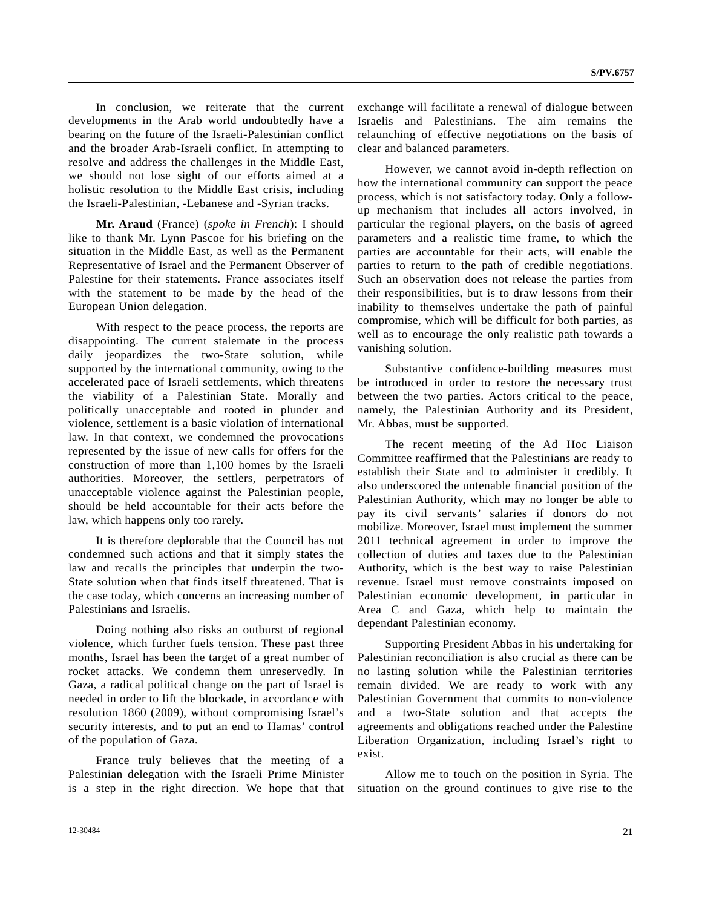In conclusion, we reiterate that the current developments in the Arab world undoubtedly have a bearing on the future of the Israeli-Palestinian conflict and the broader Arab-Israeli conflict. In attempting to resolve and address the challenges in the Middle East, we should not lose sight of our efforts aimed at a holistic resolution to the Middle East crisis, including the Israeli-Palestinian, -Lebanese and -Syrian tracks.

**Mr. Araud** (France) (*spoke in French*): I should like to thank Mr. Lynn Pascoe for his briefing on the situation in the Middle East, as well as the Permanent Representative of Israel and the Permanent Observer of Palestine for their statements. France associates itself with the statement to be made by the head of the European Union delegation.

 With respect to the peace process, the reports are disappointing. The current stalemate in the process daily jeopardizes the two-State solution, while supported by the international community, owing to the accelerated pace of Israeli settlements, which threatens the viability of a Palestinian State. Morally and politically unacceptable and rooted in plunder and violence, settlement is a basic violation of international law. In that context, we condemned the provocations represented by the issue of new calls for offers for the construction of more than 1,100 homes by the Israeli authorities. Moreover, the settlers, perpetrators of unacceptable violence against the Palestinian people, should be held accountable for their acts before the law, which happens only too rarely.

 It is therefore deplorable that the Council has not condemned such actions and that it simply states the law and recalls the principles that underpin the two-State solution when that finds itself threatened. That is the case today, which concerns an increasing number of Palestinians and Israelis.

 Doing nothing also risks an outburst of regional violence, which further fuels tension. These past three months, Israel has been the target of a great number of rocket attacks. We condemn them unreservedly. In Gaza, a radical political change on the part of Israel is needed in order to lift the blockade, in accordance with resolution 1860 (2009), without compromising Israel's security interests, and to put an end to Hamas' control of the population of Gaza.

 France truly believes that the meeting of a Palestinian delegation with the Israeli Prime Minister is a step in the right direction. We hope that that exchange will facilitate a renewal of dialogue between Israelis and Palestinians. The aim remains the relaunching of effective negotiations on the basis of clear and balanced parameters.

 However, we cannot avoid in-depth reflection on how the international community can support the peace process, which is not satisfactory today. Only a followup mechanism that includes all actors involved, in particular the regional players, on the basis of agreed parameters and a realistic time frame, to which the parties are accountable for their acts, will enable the parties to return to the path of credible negotiations. Such an observation does not release the parties from their responsibilities, but is to draw lessons from their inability to themselves undertake the path of painful compromise, which will be difficult for both parties, as well as to encourage the only realistic path towards a vanishing solution.

 Substantive confidence-building measures must be introduced in order to restore the necessary trust between the two parties. Actors critical to the peace, namely, the Palestinian Authority and its President, Mr. Abbas, must be supported.

 The recent meeting of the Ad Hoc Liaison Committee reaffirmed that the Palestinians are ready to establish their State and to administer it credibly. It also underscored the untenable financial position of the Palestinian Authority, which may no longer be able to pay its civil servants' salaries if donors do not mobilize. Moreover, Israel must implement the summer 2011 technical agreement in order to improve the collection of duties and taxes due to the Palestinian Authority, which is the best way to raise Palestinian revenue. Israel must remove constraints imposed on Palestinian economic development, in particular in Area C and Gaza, which help to maintain the dependant Palestinian economy.

 Supporting President Abbas in his undertaking for Palestinian reconciliation is also crucial as there can be no lasting solution while the Palestinian territories remain divided. We are ready to work with any Palestinian Government that commits to non-violence and a two-State solution and that accepts the agreements and obligations reached under the Palestine Liberation Organization, including Israel's right to exist.

 Allow me to touch on the position in Syria. The situation on the ground continues to give rise to the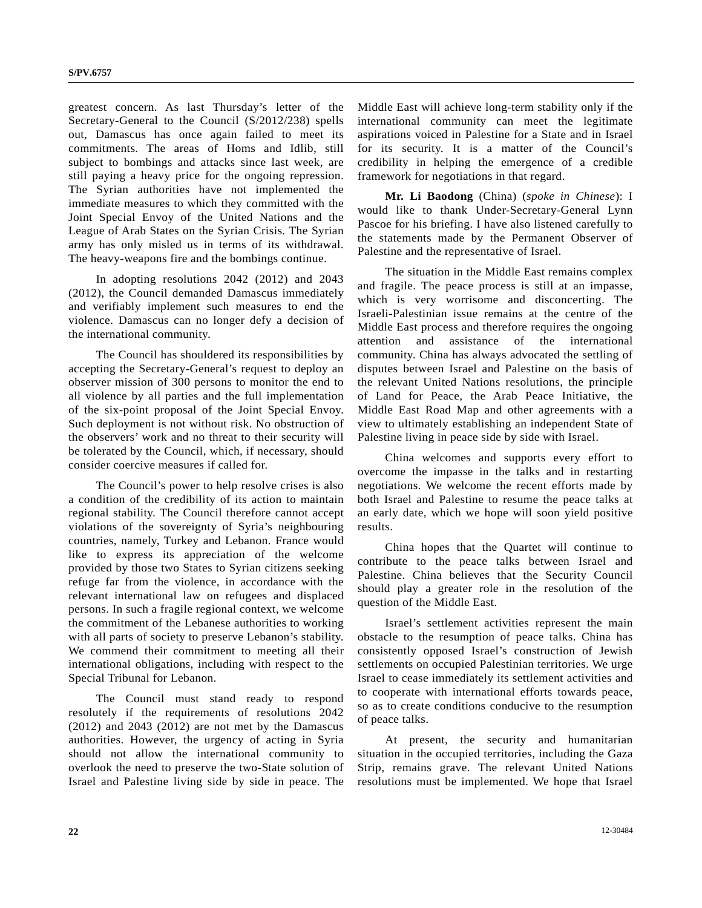greatest concern. As last Thursday's letter of the Secretary-General to the Council (S/2012/238) spells out, Damascus has once again failed to meet its commitments. The areas of Homs and Idlib, still subject to bombings and attacks since last week, are still paying a heavy price for the ongoing repression. The Syrian authorities have not implemented the immediate measures to which they committed with the Joint Special Envoy of the United Nations and the League of Arab States on the Syrian Crisis. The Syrian army has only misled us in terms of its withdrawal. The heavy-weapons fire and the bombings continue.

 In adopting resolutions 2042 (2012) and 2043 (2012), the Council demanded Damascus immediately and verifiably implement such measures to end the violence. Damascus can no longer defy a decision of the international community.

 The Council has shouldered its responsibilities by accepting the Secretary-General's request to deploy an observer mission of 300 persons to monitor the end to all violence by all parties and the full implementation of the six-point proposal of the Joint Special Envoy. Such deployment is not without risk. No obstruction of the observers' work and no threat to their security will be tolerated by the Council, which, if necessary, should consider coercive measures if called for.

 The Council's power to help resolve crises is also a condition of the credibility of its action to maintain regional stability. The Council therefore cannot accept violations of the sovereignty of Syria's neighbouring countries, namely, Turkey and Lebanon. France would like to express its appreciation of the welcome provided by those two States to Syrian citizens seeking refuge far from the violence, in accordance with the relevant international law on refugees and displaced persons. In such a fragile regional context, we welcome the commitment of the Lebanese authorities to working with all parts of society to preserve Lebanon's stability. We commend their commitment to meeting all their international obligations, including with respect to the Special Tribunal for Lebanon.

 The Council must stand ready to respond resolutely if the requirements of resolutions 2042 (2012) and 2043 (2012) are not met by the Damascus authorities. However, the urgency of acting in Syria should not allow the international community to overlook the need to preserve the two-State solution of Israel and Palestine living side by side in peace. The Middle East will achieve long-term stability only if the international community can meet the legitimate aspirations voiced in Palestine for a State and in Israel for its security. It is a matter of the Council's credibility in helping the emergence of a credible framework for negotiations in that regard.

**Mr. Li Baodong** (China) (*spoke in Chinese*): I would like to thank Under-Secretary-General Lynn Pascoe for his briefing. I have also listened carefully to the statements made by the Permanent Observer of Palestine and the representative of Israel.

 The situation in the Middle East remains complex and fragile. The peace process is still at an impasse, which is very worrisome and disconcerting. The Israeli-Palestinian issue remains at the centre of the Middle East process and therefore requires the ongoing attention and assistance of the international community. China has always advocated the settling of disputes between Israel and Palestine on the basis of the relevant United Nations resolutions, the principle of Land for Peace, the Arab Peace Initiative, the Middle East Road Map and other agreements with a view to ultimately establishing an independent State of Palestine living in peace side by side with Israel.

 China welcomes and supports every effort to overcome the impasse in the talks and in restarting negotiations. We welcome the recent efforts made by both Israel and Palestine to resume the peace talks at an early date, which we hope will soon yield positive results.

 China hopes that the Quartet will continue to contribute to the peace talks between Israel and Palestine. China believes that the Security Council should play a greater role in the resolution of the question of the Middle East.

 Israel's settlement activities represent the main obstacle to the resumption of peace talks. China has consistently opposed Israel's construction of Jewish settlements on occupied Palestinian territories. We urge Israel to cease immediately its settlement activities and to cooperate with international efforts towards peace, so as to create conditions conducive to the resumption of peace talks.

 At present, the security and humanitarian situation in the occupied territories, including the Gaza Strip, remains grave. The relevant United Nations resolutions must be implemented. We hope that Israel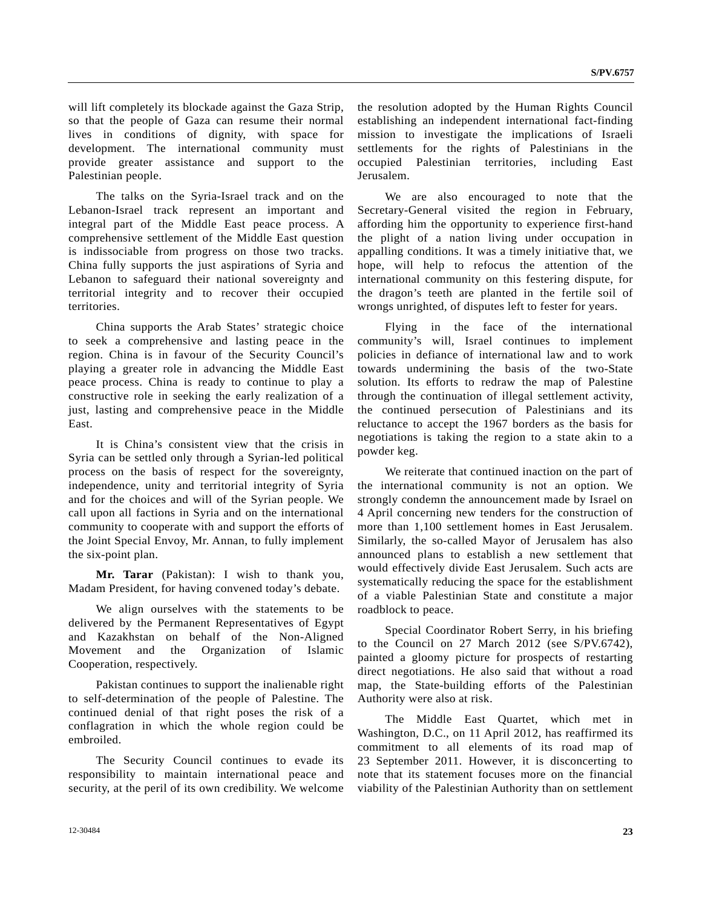will lift completely its blockade against the Gaza Strip, so that the people of Gaza can resume their normal lives in conditions of dignity, with space for development. The international community must provide greater assistance and support to the Palestinian people.

 The talks on the Syria-Israel track and on the Lebanon-Israel track represent an important and integral part of the Middle East peace process. A comprehensive settlement of the Middle East question is indissociable from progress on those two tracks. China fully supports the just aspirations of Syria and Lebanon to safeguard their national sovereignty and territorial integrity and to recover their occupied territories.

 China supports the Arab States' strategic choice to seek a comprehensive and lasting peace in the region. China is in favour of the Security Council's playing a greater role in advancing the Middle East peace process. China is ready to continue to play a constructive role in seeking the early realization of a just, lasting and comprehensive peace in the Middle East.

 It is China's consistent view that the crisis in Syria can be settled only through a Syrian-led political process on the basis of respect for the sovereignty, independence, unity and territorial integrity of Syria and for the choices and will of the Syrian people. We call upon all factions in Syria and on the international community to cooperate with and support the efforts of the Joint Special Envoy, Mr. Annan, to fully implement the six-point plan.

**Mr. Tarar** (Pakistan): I wish to thank you, Madam President, for having convened today's debate.

 We align ourselves with the statements to be delivered by the Permanent Representatives of Egypt and Kazakhstan on behalf of the Non-Aligned Movement and the Organization of Islamic Cooperation, respectively.

 Pakistan continues to support the inalienable right to self-determination of the people of Palestine. The continued denial of that right poses the risk of a conflagration in which the whole region could be embroiled.

 The Security Council continues to evade its responsibility to maintain international peace and security, at the peril of its own credibility. We welcome

the resolution adopted by the Human Rights Council establishing an independent international fact-finding mission to investigate the implications of Israeli settlements for the rights of Palestinians in the occupied Palestinian territories, including East Jerusalem.

 We are also encouraged to note that the Secretary-General visited the region in February, affording him the opportunity to experience first-hand the plight of a nation living under occupation in appalling conditions. It was a timely initiative that, we hope, will help to refocus the attention of the international community on this festering dispute, for the dragon's teeth are planted in the fertile soil of wrongs unrighted, of disputes left to fester for years.

 Flying in the face of the international community's will, Israel continues to implement policies in defiance of international law and to work towards undermining the basis of the two-State solution. Its efforts to redraw the map of Palestine through the continuation of illegal settlement activity, the continued persecution of Palestinians and its reluctance to accept the 1967 borders as the basis for negotiations is taking the region to a state akin to a powder keg.

 We reiterate that continued inaction on the part of the international community is not an option. We strongly condemn the announcement made by Israel on 4 April concerning new tenders for the construction of more than 1,100 settlement homes in East Jerusalem. Similarly, the so-called Mayor of Jerusalem has also announced plans to establish a new settlement that would effectively divide East Jerusalem. Such acts are systematically reducing the space for the establishment of a viable Palestinian State and constitute a major roadblock to peace.

 Special Coordinator Robert Serry, in his briefing to the Council on 27 March 2012 (see S/PV.6742), painted a gloomy picture for prospects of restarting direct negotiations. He also said that without a road map, the State-building efforts of the Palestinian Authority were also at risk.

 The Middle East Quartet, which met in Washington, D.C., on 11 April 2012, has reaffirmed its commitment to all elements of its road map of 23 September 2011. However, it is disconcerting to note that its statement focuses more on the financial viability of the Palestinian Authority than on settlement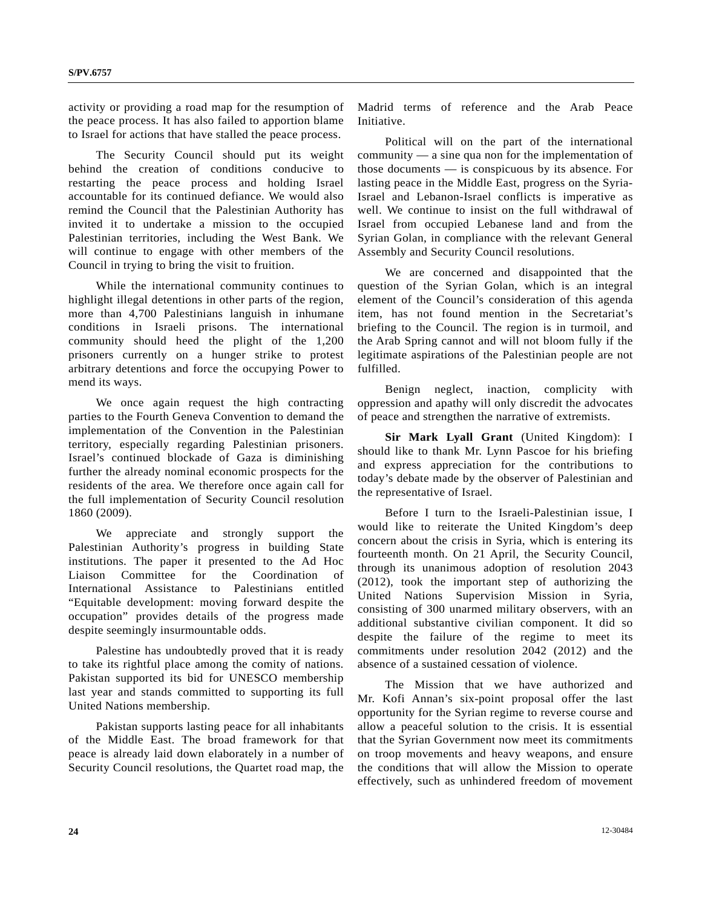activity or providing a road map for the resumption of the peace process. It has also failed to apportion blame to Israel for actions that have stalled the peace process.

 The Security Council should put its weight behind the creation of conditions conducive to restarting the peace process and holding Israel accountable for its continued defiance. We would also remind the Council that the Palestinian Authority has invited it to undertake a mission to the occupied Palestinian territories, including the West Bank. We will continue to engage with other members of the Council in trying to bring the visit to fruition.

 While the international community continues to highlight illegal detentions in other parts of the region, more than 4,700 Palestinians languish in inhumane conditions in Israeli prisons. The international community should heed the plight of the 1,200 prisoners currently on a hunger strike to protest arbitrary detentions and force the occupying Power to mend its ways.

 We once again request the high contracting parties to the Fourth Geneva Convention to demand the implementation of the Convention in the Palestinian territory, especially regarding Palestinian prisoners. Israel's continued blockade of Gaza is diminishing further the already nominal economic prospects for the residents of the area. We therefore once again call for the full implementation of Security Council resolution 1860 (2009).

 We appreciate and strongly support the Palestinian Authority's progress in building State institutions. The paper it presented to the Ad Hoc Liaison Committee for the Coordination of International Assistance to Palestinians entitled "Equitable development: moving forward despite the occupation" provides details of the progress made despite seemingly insurmountable odds.

 Palestine has undoubtedly proved that it is ready to take its rightful place among the comity of nations. Pakistan supported its bid for UNESCO membership last year and stands committed to supporting its full United Nations membership.

 Pakistan supports lasting peace for all inhabitants of the Middle East. The broad framework for that peace is already laid down elaborately in a number of Security Council resolutions, the Quartet road map, the

Madrid terms of reference and the Arab Peace Initiative.

 Political will on the part of the international community — a sine qua non for the implementation of those documents — is conspicuous by its absence. For lasting peace in the Middle East, progress on the Syria-Israel and Lebanon-Israel conflicts is imperative as well. We continue to insist on the full withdrawal of Israel from occupied Lebanese land and from the Syrian Golan, in compliance with the relevant General Assembly and Security Council resolutions.

 We are concerned and disappointed that the question of the Syrian Golan, which is an integral element of the Council's consideration of this agenda item, has not found mention in the Secretariat's briefing to the Council. The region is in turmoil, and the Arab Spring cannot and will not bloom fully if the legitimate aspirations of the Palestinian people are not fulfilled.

 Benign neglect, inaction, complicity with oppression and apathy will only discredit the advocates of peace and strengthen the narrative of extremists.

**Sir Mark Lyall Grant** (United Kingdom): I should like to thank Mr. Lynn Pascoe for his briefing and express appreciation for the contributions to today's debate made by the observer of Palestinian and the representative of Israel.

 Before I turn to the Israeli-Palestinian issue, I would like to reiterate the United Kingdom's deep concern about the crisis in Syria, which is entering its fourteenth month. On 21 April, the Security Council, through its unanimous adoption of resolution 2043 (2012), took the important step of authorizing the United Nations Supervision Mission in Syria, consisting of 300 unarmed military observers, with an additional substantive civilian component. It did so despite the failure of the regime to meet its commitments under resolution 2042 (2012) and the absence of a sustained cessation of violence.

 The Mission that we have authorized and Mr. Kofi Annan's six-point proposal offer the last opportunity for the Syrian regime to reverse course and allow a peaceful solution to the crisis. It is essential that the Syrian Government now meet its commitments on troop movements and heavy weapons, and ensure the conditions that will allow the Mission to operate effectively, such as unhindered freedom of movement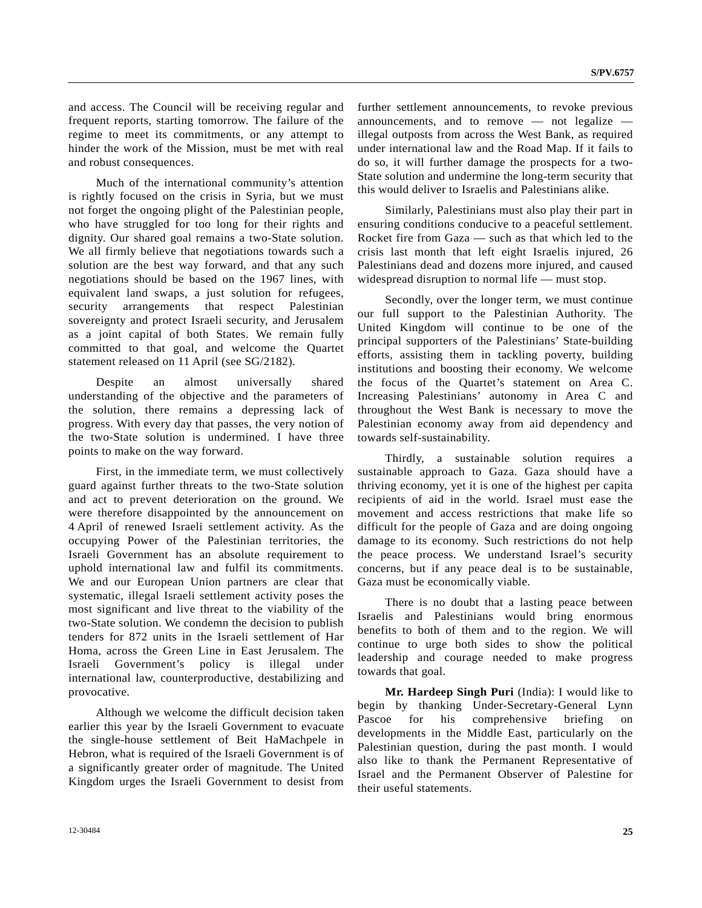and access. The Council will be receiving regular and frequent reports, starting tomorrow. The failure of the regime to meet its commitments, or any attempt to hinder the work of the Mission, must be met with real and robust consequences.

 Much of the international community's attention is rightly focused on the crisis in Syria, but we must not forget the ongoing plight of the Palestinian people, who have struggled for too long for their rights and dignity. Our shared goal remains a two-State solution. We all firmly believe that negotiations towards such a solution are the best way forward, and that any such negotiations should be based on the 1967 lines, with equivalent land swaps, a just solution for refugees, security arrangements that respect Palestinian sovereignty and protect Israeli security, and Jerusalem as a joint capital of both States. We remain fully committed to that goal, and welcome the Quartet statement released on 11 April (see SG/2182).

 Despite an almost universally shared understanding of the objective and the parameters of the solution, there remains a depressing lack of progress. With every day that passes, the very notion of the two-State solution is undermined. I have three points to make on the way forward.

 First, in the immediate term, we must collectively guard against further threats to the two-State solution and act to prevent deterioration on the ground. We were therefore disappointed by the announcement on 4 April of renewed Israeli settlement activity. As the occupying Power of the Palestinian territories, the Israeli Government has an absolute requirement to uphold international law and fulfil its commitments. We and our European Union partners are clear that systematic, illegal Israeli settlement activity poses the most significant and live threat to the viability of the two-State solution. We condemn the decision to publish tenders for 872 units in the Israeli settlement of Har Homa, across the Green Line in East Jerusalem. The Israeli Government's policy is illegal under international law, counterproductive, destabilizing and provocative.

 Although we welcome the difficult decision taken earlier this year by the Israeli Government to evacuate the single-house settlement of Beit HaMachpele in Hebron, what is required of the Israeli Government is of a significantly greater order of magnitude. The United Kingdom urges the Israeli Government to desist from

12-30484 **25** 

further settlement announcements, to revoke previous announcements, and to remove  $-$  not legalize  $$ illegal outposts from across the West Bank, as required under international law and the Road Map. If it fails to do so, it will further damage the prospects for a two-State solution and undermine the long-term security that this would deliver to Israelis and Palestinians alike.

 Similarly, Palestinians must also play their part in ensuring conditions conducive to a peaceful settlement. Rocket fire from Gaza — such as that which led to the crisis last month that left eight Israelis injured, 26 Palestinians dead and dozens more injured, and caused widespread disruption to normal life — must stop.

 Secondly, over the longer term, we must continue our full support to the Palestinian Authority. The United Kingdom will continue to be one of the principal supporters of the Palestinians' State-building efforts, assisting them in tackling poverty, building institutions and boosting their economy. We welcome the focus of the Quartet's statement on Area C. Increasing Palestinians' autonomy in Area C and throughout the West Bank is necessary to move the Palestinian economy away from aid dependency and towards self-sustainability.

 Thirdly, a sustainable solution requires a sustainable approach to Gaza. Gaza should have a thriving economy, yet it is one of the highest per capita recipients of aid in the world. Israel must ease the movement and access restrictions that make life so difficult for the people of Gaza and are doing ongoing damage to its economy. Such restrictions do not help the peace process. We understand Israel's security concerns, but if any peace deal is to be sustainable, Gaza must be economically viable.

 There is no doubt that a lasting peace between Israelis and Palestinians would bring enormous benefits to both of them and to the region. We will continue to urge both sides to show the political leadership and courage needed to make progress towards that goal.

**Mr. Hardeep Singh Puri** (India): I would like to begin by thanking Under-Secretary-General Lynn Pascoe for his comprehensive briefing developments in the Middle East, particularly on the Palestinian question, during the past month. I would also like to thank the Permanent Representative of Israel and the Permanent Observer of Palestine for their useful statements.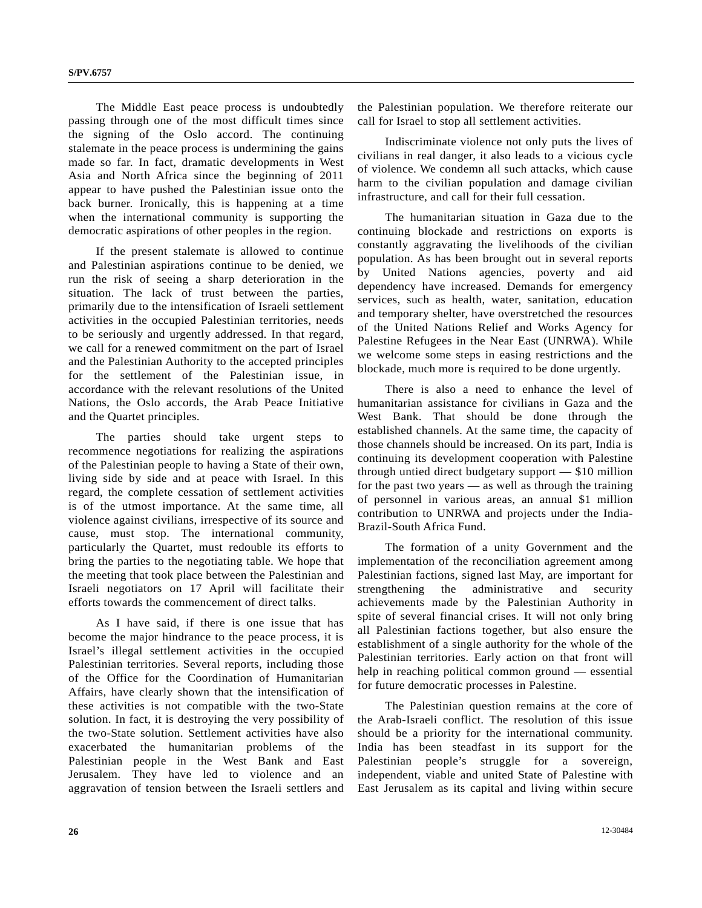The Middle East peace process is undoubtedly passing through one of the most difficult times since the signing of the Oslo accord. The continuing stalemate in the peace process is undermining the gains made so far. In fact, dramatic developments in West Asia and North Africa since the beginning of 2011 appear to have pushed the Palestinian issue onto the back burner. Ironically, this is happening at a time when the international community is supporting the democratic aspirations of other peoples in the region.

 If the present stalemate is allowed to continue and Palestinian aspirations continue to be denied, we run the risk of seeing a sharp deterioration in the situation. The lack of trust between the parties, primarily due to the intensification of Israeli settlement activities in the occupied Palestinian territories, needs to be seriously and urgently addressed. In that regard, we call for a renewed commitment on the part of Israel and the Palestinian Authority to the accepted principles for the settlement of the Palestinian issue, in accordance with the relevant resolutions of the United Nations, the Oslo accords, the Arab Peace Initiative and the Quartet principles.

 The parties should take urgent steps to recommence negotiations for realizing the aspirations of the Palestinian people to having a State of their own, living side by side and at peace with Israel. In this regard, the complete cessation of settlement activities is of the utmost importance. At the same time, all violence against civilians, irrespective of its source and cause, must stop. The international community, particularly the Quartet, must redouble its efforts to bring the parties to the negotiating table. We hope that the meeting that took place between the Palestinian and Israeli negotiators on 17 April will facilitate their efforts towards the commencement of direct talks.

 As I have said, if there is one issue that has become the major hindrance to the peace process, it is Israel's illegal settlement activities in the occupied Palestinian territories. Several reports, including those of the Office for the Coordination of Humanitarian Affairs, have clearly shown that the intensification of these activities is not compatible with the two-State solution. In fact, it is destroying the very possibility of the two-State solution. Settlement activities have also exacerbated the humanitarian problems of the Palestinian people in the West Bank and East Jerusalem. They have led to violence and an aggravation of tension between the Israeli settlers and

the Palestinian population. We therefore reiterate our call for Israel to stop all settlement activities.

 Indiscriminate violence not only puts the lives of civilians in real danger, it also leads to a vicious cycle of violence. We condemn all such attacks, which cause harm to the civilian population and damage civilian infrastructure, and call for their full cessation.

 The humanitarian situation in Gaza due to the continuing blockade and restrictions on exports is constantly aggravating the livelihoods of the civilian population. As has been brought out in several reports by United Nations agencies, poverty and aid dependency have increased. Demands for emergency services, such as health, water, sanitation, education and temporary shelter, have overstretched the resources of the United Nations Relief and Works Agency for Palestine Refugees in the Near East (UNRWA). While we welcome some steps in easing restrictions and the blockade, much more is required to be done urgently.

 There is also a need to enhance the level of humanitarian assistance for civilians in Gaza and the West Bank. That should be done through the established channels. At the same time, the capacity of those channels should be increased. On its part, India is continuing its development cooperation with Palestine through untied direct budgetary support — \$10 million for the past two years — as well as through the training of personnel in various areas, an annual \$1 million contribution to UNRWA and projects under the India-Brazil-South Africa Fund.

 The formation of a unity Government and the implementation of the reconciliation agreement among Palestinian factions, signed last May, are important for strengthening the administrative and security achievements made by the Palestinian Authority in spite of several financial crises. It will not only bring all Palestinian factions together, but also ensure the establishment of a single authority for the whole of the Palestinian territories. Early action on that front will help in reaching political common ground — essential for future democratic processes in Palestine.

 The Palestinian question remains at the core of the Arab-Israeli conflict. The resolution of this issue should be a priority for the international community. India has been steadfast in its support for the Palestinian people's struggle for a sovereign, independent, viable and united State of Palestine with East Jerusalem as its capital and living within secure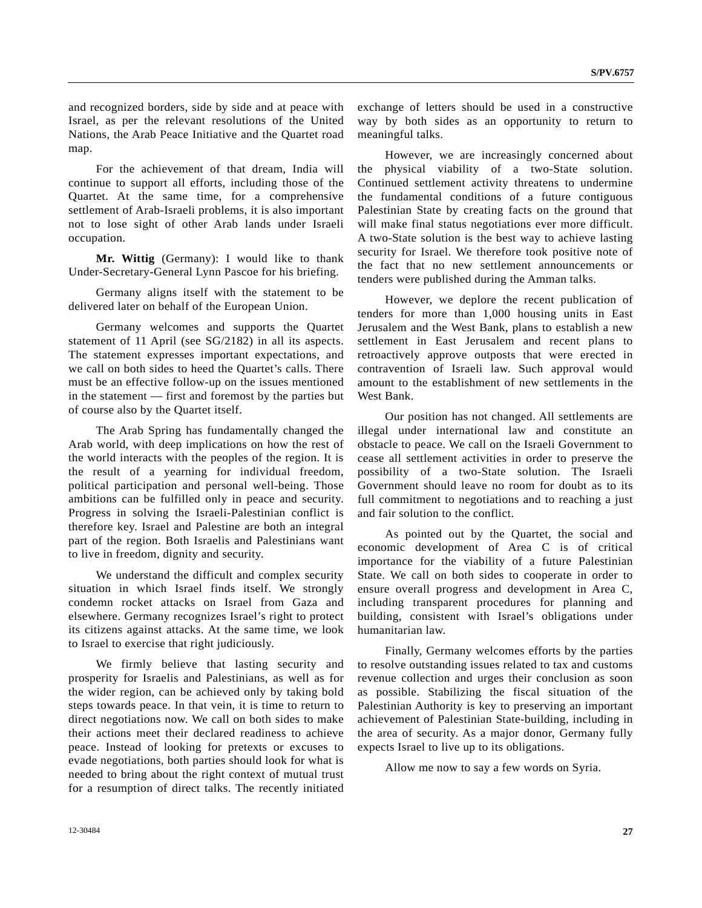and recognized borders, side by side and at peace with Israel, as per the relevant resolutions of the United Nations, the Arab Peace Initiative and the Quartet road map.

 For the achievement of that dream, India will continue to support all efforts, including those of the Quartet. At the same time, for a comprehensive settlement of Arab-Israeli problems, it is also important not to lose sight of other Arab lands under Israeli occupation.

**Mr. Wittig** (Germany): I would like to thank Under-Secretary-General Lynn Pascoe for his briefing.

 Germany aligns itself with the statement to be delivered later on behalf of the European Union.

 Germany welcomes and supports the Quartet statement of 11 April (see SG/2182) in all its aspects. The statement expresses important expectations, and we call on both sides to heed the Quartet's calls. There must be an effective follow-up on the issues mentioned in the statement — first and foremost by the parties but of course also by the Quartet itself.

 The Arab Spring has fundamentally changed the Arab world, with deep implications on how the rest of the world interacts with the peoples of the region. It is the result of a yearning for individual freedom, political participation and personal well-being. Those ambitions can be fulfilled only in peace and security. Progress in solving the Israeli-Palestinian conflict is therefore key. Israel and Palestine are both an integral part of the region. Both Israelis and Palestinians want to live in freedom, dignity and security.

 We understand the difficult and complex security situation in which Israel finds itself. We strongly condemn rocket attacks on Israel from Gaza and elsewhere. Germany recognizes Israel's right to protect its citizens against attacks. At the same time, we look to Israel to exercise that right judiciously.

 We firmly believe that lasting security and prosperity for Israelis and Palestinians, as well as for the wider region, can be achieved only by taking bold steps towards peace. In that vein, it is time to return to direct negotiations now. We call on both sides to make their actions meet their declared readiness to achieve peace. Instead of looking for pretexts or excuses to evade negotiations, both parties should look for what is needed to bring about the right context of mutual trust for a resumption of direct talks. The recently initiated

exchange of letters should be used in a constructive way by both sides as an opportunity to return to meaningful talks.

 However, we are increasingly concerned about the physical viability of a two-State solution. Continued settlement activity threatens to undermine the fundamental conditions of a future contiguous Palestinian State by creating facts on the ground that will make final status negotiations ever more difficult. A two-State solution is the best way to achieve lasting security for Israel. We therefore took positive note of the fact that no new settlement announcements or tenders were published during the Amman talks.

 However, we deplore the recent publication of tenders for more than 1,000 housing units in East Jerusalem and the West Bank, plans to establish a new settlement in East Jerusalem and recent plans to retroactively approve outposts that were erected in contravention of Israeli law. Such approval would amount to the establishment of new settlements in the West Bank.

 Our position has not changed. All settlements are illegal under international law and constitute an obstacle to peace. We call on the Israeli Government to cease all settlement activities in order to preserve the possibility of a two-State solution. The Israeli Government should leave no room for doubt as to its full commitment to negotiations and to reaching a just and fair solution to the conflict.

 As pointed out by the Quartet, the social and economic development of Area C is of critical importance for the viability of a future Palestinian State. We call on both sides to cooperate in order to ensure overall progress and development in Area C, including transparent procedures for planning and building, consistent with Israel's obligations under humanitarian law.

 Finally, Germany welcomes efforts by the parties to resolve outstanding issues related to tax and customs revenue collection and urges their conclusion as soon as possible. Stabilizing the fiscal situation of the Palestinian Authority is key to preserving an important achievement of Palestinian State-building, including in the area of security. As a major donor, Germany fully expects Israel to live up to its obligations.

Allow me now to say a few words on Syria.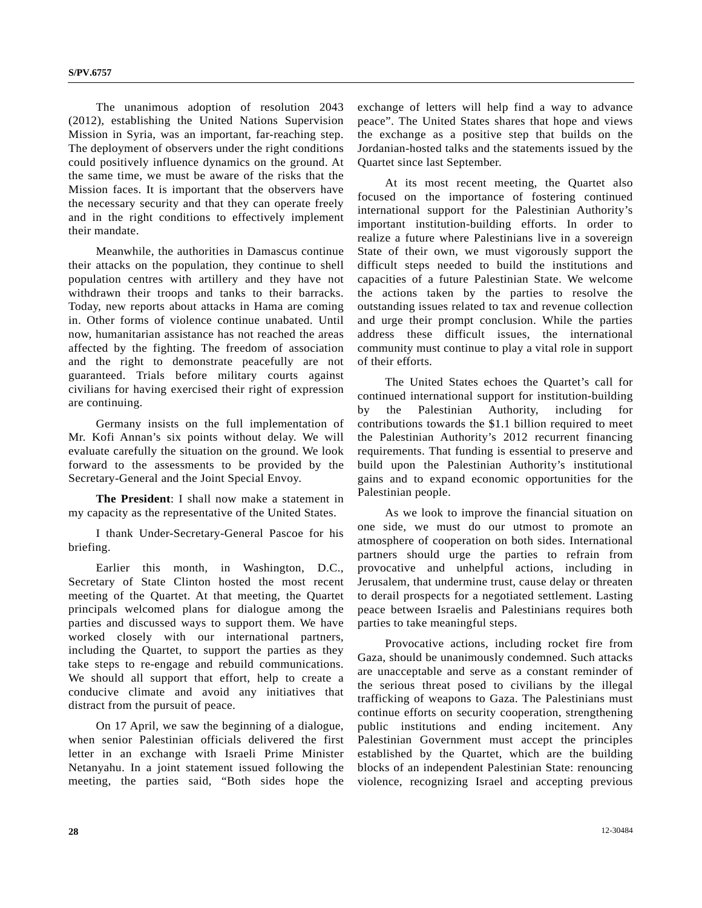The unanimous adoption of resolution 2043 (2012), establishing the United Nations Supervision Mission in Syria, was an important, far-reaching step. The deployment of observers under the right conditions could positively influence dynamics on the ground. At the same time, we must be aware of the risks that the Mission faces. It is important that the observers have the necessary security and that they can operate freely and in the right conditions to effectively implement their mandate.

 Meanwhile, the authorities in Damascus continue their attacks on the population, they continue to shell population centres with artillery and they have not withdrawn their troops and tanks to their barracks. Today, new reports about attacks in Hama are coming in. Other forms of violence continue unabated. Until now, humanitarian assistance has not reached the areas affected by the fighting. The freedom of association and the right to demonstrate peacefully are not guaranteed. Trials before military courts against civilians for having exercised their right of expression are continuing.

 Germany insists on the full implementation of Mr. Kofi Annan's six points without delay. We will evaluate carefully the situation on the ground. We look forward to the assessments to be provided by the Secretary-General and the Joint Special Envoy.

**The President**: I shall now make a statement in my capacity as the representative of the United States.

 I thank Under-Secretary-General Pascoe for his briefing.

 Earlier this month, in Washington, D.C., Secretary of State Clinton hosted the most recent meeting of the Quartet. At that meeting, the Quartet principals welcomed plans for dialogue among the parties and discussed ways to support them. We have worked closely with our international partners, including the Quartet, to support the parties as they take steps to re-engage and rebuild communications. We should all support that effort, help to create a conducive climate and avoid any initiatives that distract from the pursuit of peace.

 On 17 April, we saw the beginning of a dialogue, when senior Palestinian officials delivered the first letter in an exchange with Israeli Prime Minister Netanyahu. In a joint statement issued following the meeting, the parties said, "Both sides hope the exchange of letters will help find a way to advance peace". The United States shares that hope and views the exchange as a positive step that builds on the Jordanian-hosted talks and the statements issued by the Quartet since last September.

 At its most recent meeting, the Quartet also focused on the importance of fostering continued international support for the Palestinian Authority's important institution-building efforts. In order to realize a future where Palestinians live in a sovereign State of their own, we must vigorously support the difficult steps needed to build the institutions and capacities of a future Palestinian State. We welcome the actions taken by the parties to resolve the outstanding issues related to tax and revenue collection and urge their prompt conclusion. While the parties address these difficult issues, the international community must continue to play a vital role in support of their efforts.

 The United States echoes the Quartet's call for continued international support for institution-building by the Palestinian Authority, including for contributions towards the \$1.1 billion required to meet the Palestinian Authority's 2012 recurrent financing requirements. That funding is essential to preserve and build upon the Palestinian Authority's institutional gains and to expand economic opportunities for the Palestinian people.

 As we look to improve the financial situation on one side, we must do our utmost to promote an atmosphere of cooperation on both sides. International partners should urge the parties to refrain from provocative and unhelpful actions, including in Jerusalem, that undermine trust, cause delay or threaten to derail prospects for a negotiated settlement. Lasting peace between Israelis and Palestinians requires both parties to take meaningful steps.

 Provocative actions, including rocket fire from Gaza, should be unanimously condemned. Such attacks are unacceptable and serve as a constant reminder of the serious threat posed to civilians by the illegal trafficking of weapons to Gaza. The Palestinians must continue efforts on security cooperation, strengthening public institutions and ending incitement. Any Palestinian Government must accept the principles established by the Quartet, which are the building blocks of an independent Palestinian State: renouncing violence, recognizing Israel and accepting previous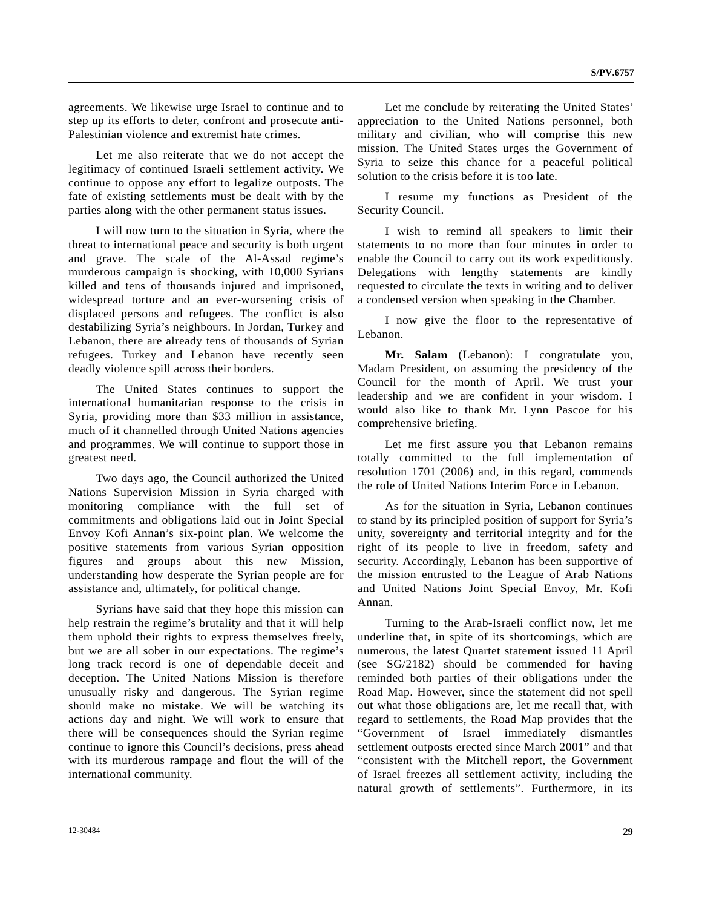agreements. We likewise urge Israel to continue and to step up its efforts to deter, confront and prosecute anti-Palestinian violence and extremist hate crimes.

 Let me also reiterate that we do not accept the legitimacy of continued Israeli settlement activity. We continue to oppose any effort to legalize outposts. The fate of existing settlements must be dealt with by the parties along with the other permanent status issues.

 I will now turn to the situation in Syria, where the threat to international peace and security is both urgent and grave. The scale of the Al-Assad regime's murderous campaign is shocking, with 10,000 Syrians killed and tens of thousands injured and imprisoned, widespread torture and an ever-worsening crisis of displaced persons and refugees. The conflict is also destabilizing Syria's neighbours. In Jordan, Turkey and Lebanon, there are already tens of thousands of Syrian refugees. Turkey and Lebanon have recently seen deadly violence spill across their borders.

 The United States continues to support the international humanitarian response to the crisis in Syria, providing more than \$33 million in assistance, much of it channelled through United Nations agencies and programmes. We will continue to support those in greatest need.

 Two days ago, the Council authorized the United Nations Supervision Mission in Syria charged with monitoring compliance with the full set of commitments and obligations laid out in Joint Special Envoy Kofi Annan's six-point plan. We welcome the positive statements from various Syrian opposition figures and groups about this new Mission, understanding how desperate the Syrian people are for assistance and, ultimately, for political change.

 Syrians have said that they hope this mission can help restrain the regime's brutality and that it will help them uphold their rights to express themselves freely, but we are all sober in our expectations. The regime's long track record is one of dependable deceit and deception. The United Nations Mission is therefore unusually risky and dangerous. The Syrian regime should make no mistake. We will be watching its actions day and night. We will work to ensure that there will be consequences should the Syrian regime continue to ignore this Council's decisions, press ahead with its murderous rampage and flout the will of the international community.

 Let me conclude by reiterating the United States' appreciation to the United Nations personnel, both military and civilian, who will comprise this new mission. The United States urges the Government of Syria to seize this chance for a peaceful political solution to the crisis before it is too late.

 I resume my functions as President of the Security Council.

 I wish to remind all speakers to limit their statements to no more than four minutes in order to enable the Council to carry out its work expeditiously. Delegations with lengthy statements are kindly requested to circulate the texts in writing and to deliver a condensed version when speaking in the Chamber.

 I now give the floor to the representative of Lebanon.

**Mr. Salam** (Lebanon): I congratulate you, Madam President, on assuming the presidency of the Council for the month of April. We trust your leadership and we are confident in your wisdom. I would also like to thank Mr. Lynn Pascoe for his comprehensive briefing.

 Let me first assure you that Lebanon remains totally committed to the full implementation of resolution 1701 (2006) and, in this regard, commends the role of United Nations Interim Force in Lebanon.

 As for the situation in Syria, Lebanon continues to stand by its principled position of support for Syria's unity, sovereignty and territorial integrity and for the right of its people to live in freedom, safety and security. Accordingly, Lebanon has been supportive of the mission entrusted to the League of Arab Nations and United Nations Joint Special Envoy, Mr. Kofi Annan.

 Turning to the Arab-Israeli conflict now, let me underline that, in spite of its shortcomings, which are numerous, the latest Quartet statement issued 11 April (see SG/2182) should be commended for having reminded both parties of their obligations under the Road Map. However, since the statement did not spell out what those obligations are, let me recall that, with regard to settlements, the Road Map provides that the "Government of Israel immediately dismantles settlement outposts erected since March 2001" and that "consistent with the Mitchell report, the Government of Israel freezes all settlement activity, including the natural growth of settlements". Furthermore, in its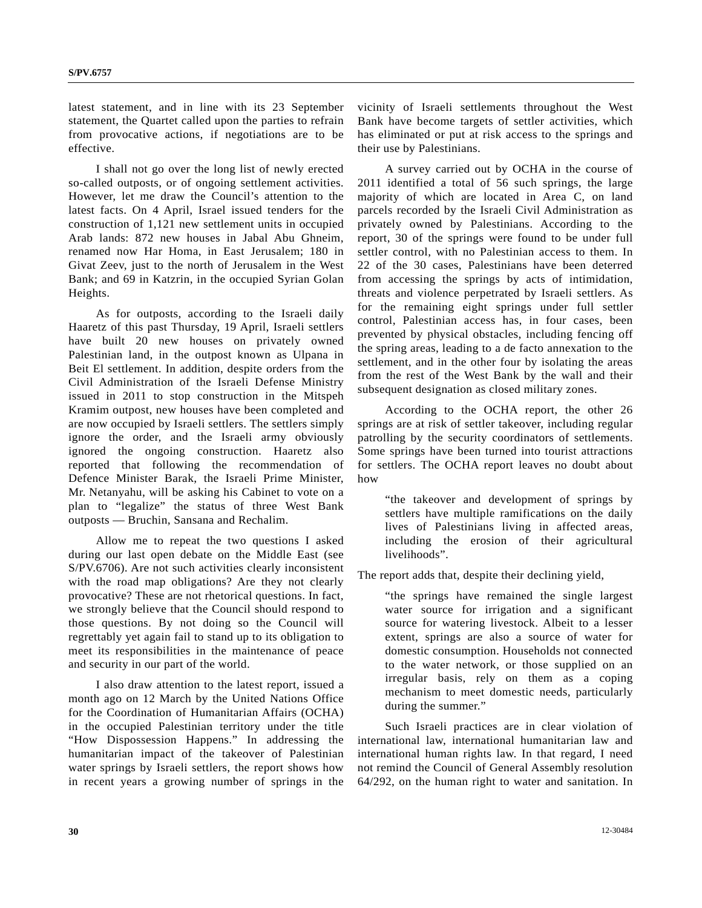latest statement, and in line with its 23 September statement, the Quartet called upon the parties to refrain from provocative actions, if negotiations are to be effective.

 I shall not go over the long list of newly erected so-called outposts, or of ongoing settlement activities. However, let me draw the Council's attention to the latest facts. On 4 April, Israel issued tenders for the construction of 1,121 new settlement units in occupied Arab lands: 872 new houses in Jabal Abu Ghneim, renamed now Har Homa, in East Jerusalem; 180 in Givat Zeev, just to the north of Jerusalem in the West Bank; and 69 in Katzrin, in the occupied Syrian Golan Heights.

 As for outposts, according to the Israeli daily Haaretz of this past Thursday, 19 April, Israeli settlers have built 20 new houses on privately owned Palestinian land, in the outpost known as Ulpana in Beit El settlement. In addition, despite orders from the Civil Administration of the Israeli Defense Ministry issued in 2011 to stop construction in the Mitspeh Kramim outpost, new houses have been completed and are now occupied by Israeli settlers. The settlers simply ignore the order, and the Israeli army obviously ignored the ongoing construction. Haaretz also reported that following the recommendation of Defence Minister Barak, the Israeli Prime Minister, Mr. Netanyahu, will be asking his Cabinet to vote on a plan to "legalize" the status of three West Bank outposts — Bruchin, Sansana and Rechalim.

 Allow me to repeat the two questions I asked during our last open debate on the Middle East (see S/PV.6706). Are not such activities clearly inconsistent with the road map obligations? Are they not clearly provocative? These are not rhetorical questions. In fact, we strongly believe that the Council should respond to those questions. By not doing so the Council will regrettably yet again fail to stand up to its obligation to meet its responsibilities in the maintenance of peace and security in our part of the world.

 I also draw attention to the latest report, issued a month ago on 12 March by the United Nations Office for the Coordination of Humanitarian Affairs (OCHA) in the occupied Palestinian territory under the title "How Dispossession Happens." In addressing the humanitarian impact of the takeover of Palestinian water springs by Israeli settlers, the report shows how in recent years a growing number of springs in the

vicinity of Israeli settlements throughout the West Bank have become targets of settler activities, which has eliminated or put at risk access to the springs and their use by Palestinians.

 A survey carried out by OCHA in the course of 2011 identified a total of 56 such springs, the large majority of which are located in Area C, on land parcels recorded by the Israeli Civil Administration as privately owned by Palestinians. According to the report, 30 of the springs were found to be under full settler control, with no Palestinian access to them. In 22 of the 30 cases, Palestinians have been deterred from accessing the springs by acts of intimidation, threats and violence perpetrated by Israeli settlers. As for the remaining eight springs under full settler control, Palestinian access has, in four cases, been prevented by physical obstacles, including fencing off the spring areas, leading to a de facto annexation to the settlement, and in the other four by isolating the areas from the rest of the West Bank by the wall and their subsequent designation as closed military zones.

 According to the OCHA report, the other 26 springs are at risk of settler takeover, including regular patrolling by the security coordinators of settlements. Some springs have been turned into tourist attractions for settlers. The OCHA report leaves no doubt about how

 "the takeover and development of springs by settlers have multiple ramifications on the daily lives of Palestinians living in affected areas, including the erosion of their agricultural livelihoods".

The report adds that, despite their declining yield,

 "the springs have remained the single largest water source for irrigation and a significant source for watering livestock. Albeit to a lesser extent, springs are also a source of water for domestic consumption. Households not connected to the water network, or those supplied on an irregular basis, rely on them as a coping mechanism to meet domestic needs, particularly during the summer."

 Such Israeli practices are in clear violation of international law, international humanitarian law and international human rights law. In that regard, I need not remind the Council of General Assembly resolution 64/292, on the human right to water and sanitation. In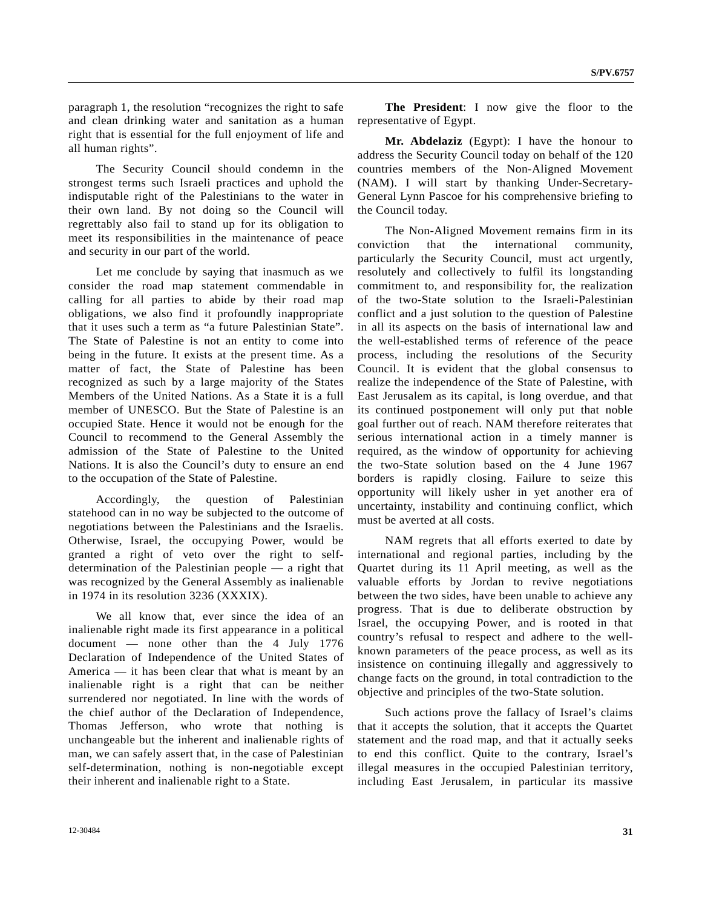paragraph 1, the resolution "recognizes the right to safe and clean drinking water and sanitation as a human right that is essential for the full enjoyment of life and all human rights".

 The Security Council should condemn in the strongest terms such Israeli practices and uphold the indisputable right of the Palestinians to the water in their own land. By not doing so the Council will regrettably also fail to stand up for its obligation to meet its responsibilities in the maintenance of peace and security in our part of the world.

 Let me conclude by saying that inasmuch as we consider the road map statement commendable in calling for all parties to abide by their road map obligations, we also find it profoundly inappropriate that it uses such a term as "a future Palestinian State". The State of Palestine is not an entity to come into being in the future. It exists at the present time. As a matter of fact, the State of Palestine has been recognized as such by a large majority of the States Members of the United Nations. As a State it is a full member of UNESCO. But the State of Palestine is an occupied State. Hence it would not be enough for the Council to recommend to the General Assembly the admission of the State of Palestine to the United Nations. It is also the Council's duty to ensure an end to the occupation of the State of Palestine.

 Accordingly, the question of Palestinian statehood can in no way be subjected to the outcome of negotiations between the Palestinians and the Israelis. Otherwise, Israel, the occupying Power, would be granted a right of veto over the right to selfdetermination of the Palestinian people — a right that was recognized by the General Assembly as inalienable in 1974 in its resolution 3236 (XXXIX).

We all know that, ever since the idea of an inalienable right made its first appearance in a political document — none other than the 4 July 1776 Declaration of Independence of the United States of America — it has been clear that what is meant by an inalienable right is a right that can be neither surrendered nor negotiated. In line with the words of the chief author of the Declaration of Independence, Thomas Jefferson, who wrote that nothing is unchangeable but the inherent and inalienable rights of man, we can safely assert that, in the case of Palestinian self-determination, nothing is non-negotiable except their inherent and inalienable right to a State.

**The President**: I now give the floor to the representative of Egypt.

**Mr. Abdelaziz** (Egypt): I have the honour to address the Security Council today on behalf of the 120 countries members of the Non-Aligned Movement (NAM). I will start by thanking Under-Secretary-General Lynn Pascoe for his comprehensive briefing to the Council today.

 The Non-Aligned Movement remains firm in its conviction that the international community, particularly the Security Council, must act urgently, resolutely and collectively to fulfil its longstanding commitment to, and responsibility for, the realization of the two-State solution to the Israeli-Palestinian conflict and a just solution to the question of Palestine in all its aspects on the basis of international law and the well-established terms of reference of the peace process, including the resolutions of the Security Council. It is evident that the global consensus to realize the independence of the State of Palestine, with East Jerusalem as its capital, is long overdue, and that its continued postponement will only put that noble goal further out of reach. NAM therefore reiterates that serious international action in a timely manner is required, as the window of opportunity for achieving the two-State solution based on the 4 June 1967 borders is rapidly closing. Failure to seize this opportunity will likely usher in yet another era of uncertainty, instability and continuing conflict, which must be averted at all costs.

 NAM regrets that all efforts exerted to date by international and regional parties, including by the Quartet during its 11 April meeting, as well as the valuable efforts by Jordan to revive negotiations between the two sides, have been unable to achieve any progress. That is due to deliberate obstruction by Israel, the occupying Power, and is rooted in that country's refusal to respect and adhere to the wellknown parameters of the peace process, as well as its insistence on continuing illegally and aggressively to change facts on the ground, in total contradiction to the objective and principles of the two-State solution.

 Such actions prove the fallacy of Israel's claims that it accepts the solution, that it accepts the Quartet statement and the road map, and that it actually seeks to end this conflict. Quite to the contrary, Israel's illegal measures in the occupied Palestinian territory, including East Jerusalem, in particular its massive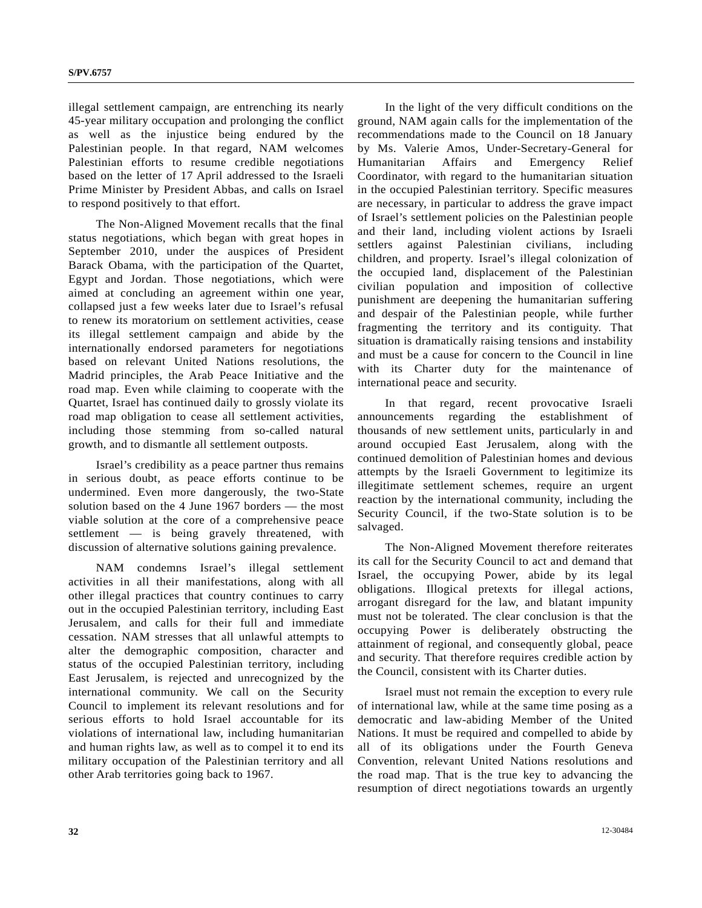illegal settlement campaign, are entrenching its nearly 45-year military occupation and prolonging the conflict as well as the injustice being endured by the Palestinian people. In that regard, NAM welcomes Palestinian efforts to resume credible negotiations based on the letter of 17 April addressed to the Israeli Prime Minister by President Abbas, and calls on Israel to respond positively to that effort.

 The Non-Aligned Movement recalls that the final status negotiations, which began with great hopes in September 2010, under the auspices of President Barack Obama, with the participation of the Quartet, Egypt and Jordan. Those negotiations, which were aimed at concluding an agreement within one year, collapsed just a few weeks later due to Israel's refusal to renew its moratorium on settlement activities, cease its illegal settlement campaign and abide by the internationally endorsed parameters for negotiations based on relevant United Nations resolutions, the Madrid principles, the Arab Peace Initiative and the road map. Even while claiming to cooperate with the Quartet, Israel has continued daily to grossly violate its road map obligation to cease all settlement activities, including those stemming from so-called natural growth, and to dismantle all settlement outposts.

 Israel's credibility as a peace partner thus remains in serious doubt, as peace efforts continue to be undermined. Even more dangerously, the two-State solution based on the 4 June 1967 borders — the most viable solution at the core of a comprehensive peace settlement — is being gravely threatened, with discussion of alternative solutions gaining prevalence.

 NAM condemns Israel's illegal settlement activities in all their manifestations, along with all other illegal practices that country continues to carry out in the occupied Palestinian territory, including East Jerusalem, and calls for their full and immediate cessation. NAM stresses that all unlawful attempts to alter the demographic composition, character and status of the occupied Palestinian territory, including East Jerusalem, is rejected and unrecognized by the international community. We call on the Security Council to implement its relevant resolutions and for serious efforts to hold Israel accountable for its violations of international law, including humanitarian and human rights law, as well as to compel it to end its military occupation of the Palestinian territory and all other Arab territories going back to 1967.

 In the light of the very difficult conditions on the ground, NAM again calls for the implementation of the recommendations made to the Council on 18 January by Ms. Valerie Amos, Under-Secretary-General for Humanitarian Affairs and Emergency Relief Coordinator, with regard to the humanitarian situation in the occupied Palestinian territory. Specific measures are necessary, in particular to address the grave impact of Israel's settlement policies on the Palestinian people and their land, including violent actions by Israeli settlers against Palestinian civilians, including children, and property. Israel's illegal colonization of the occupied land, displacement of the Palestinian civilian population and imposition of collective punishment are deepening the humanitarian suffering and despair of the Palestinian people, while further fragmenting the territory and its contiguity. That situation is dramatically raising tensions and instability and must be a cause for concern to the Council in line with its Charter duty for the maintenance of international peace and security.

 In that regard, recent provocative Israeli announcements regarding the establishment of thousands of new settlement units, particularly in and around occupied East Jerusalem, along with the continued demolition of Palestinian homes and devious attempts by the Israeli Government to legitimize its illegitimate settlement schemes, require an urgent reaction by the international community, including the Security Council, if the two-State solution is to be salvaged.

 The Non-Aligned Movement therefore reiterates its call for the Security Council to act and demand that Israel, the occupying Power, abide by its legal obligations. Illogical pretexts for illegal actions, arrogant disregard for the law, and blatant impunity must not be tolerated. The clear conclusion is that the occupying Power is deliberately obstructing the attainment of regional, and consequently global, peace and security. That therefore requires credible action by the Council, consistent with its Charter duties.

 Israel must not remain the exception to every rule of international law, while at the same time posing as a democratic and law-abiding Member of the United Nations. It must be required and compelled to abide by all of its obligations under the Fourth Geneva Convention, relevant United Nations resolutions and the road map. That is the true key to advancing the resumption of direct negotiations towards an urgently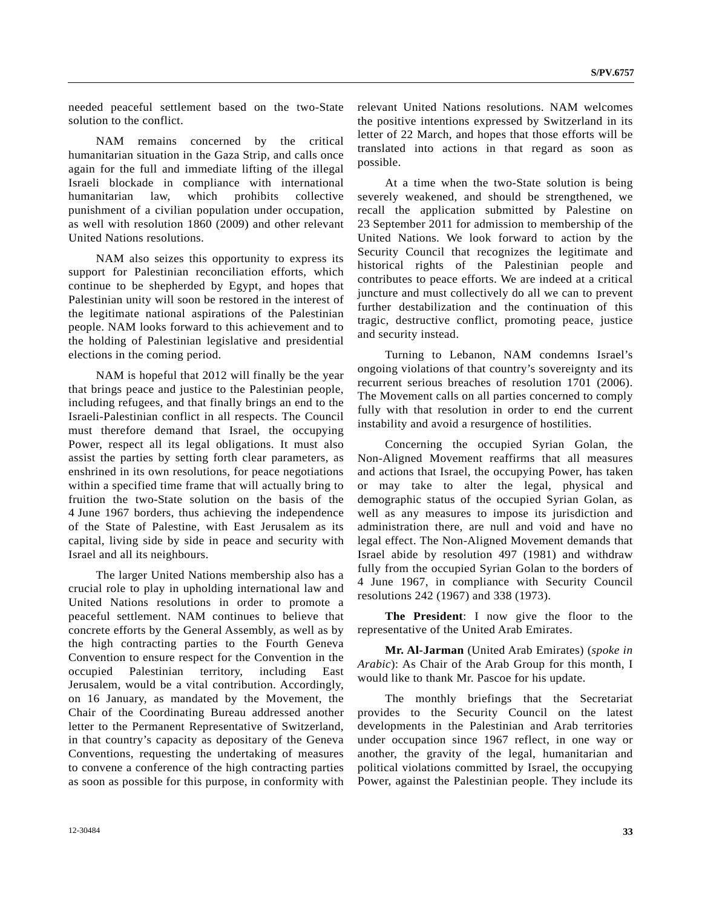needed peaceful settlement based on the two-State solution to the conflict.

 NAM remains concerned by the critical humanitarian situation in the Gaza Strip, and calls once again for the full and immediate lifting of the illegal Israeli blockade in compliance with international humanitarian law, which prohibits collective punishment of a civilian population under occupation, as well with resolution 1860 (2009) and other relevant United Nations resolutions.

 NAM also seizes this opportunity to express its support for Palestinian reconciliation efforts, which continue to be shepherded by Egypt, and hopes that Palestinian unity will soon be restored in the interest of the legitimate national aspirations of the Palestinian people. NAM looks forward to this achievement and to the holding of Palestinian legislative and presidential elections in the coming period.

 NAM is hopeful that 2012 will finally be the year that brings peace and justice to the Palestinian people, including refugees, and that finally brings an end to the Israeli-Palestinian conflict in all respects. The Council must therefore demand that Israel, the occupying Power, respect all its legal obligations. It must also assist the parties by setting forth clear parameters, as enshrined in its own resolutions, for peace negotiations within a specified time frame that will actually bring to fruition the two-State solution on the basis of the 4 June 1967 borders, thus achieving the independence of the State of Palestine, with East Jerusalem as its capital, living side by side in peace and security with Israel and all its neighbours.

 The larger United Nations membership also has a crucial role to play in upholding international law and United Nations resolutions in order to promote a peaceful settlement. NAM continues to believe that concrete efforts by the General Assembly, as well as by the high contracting parties to the Fourth Geneva Convention to ensure respect for the Convention in the occupied Palestinian territory, including East Jerusalem, would be a vital contribution. Accordingly, on 16 January, as mandated by the Movement, the Chair of the Coordinating Bureau addressed another letter to the Permanent Representative of Switzerland, in that country's capacity as depositary of the Geneva Conventions, requesting the undertaking of measures to convene a conference of the high contracting parties as soon as possible for this purpose, in conformity with

relevant United Nations resolutions. NAM welcomes

 At a time when the two-State solution is being severely weakened, and should be strengthened, we recall the application submitted by Palestine on 23 September 2011 for admission to membership of the United Nations. We look forward to action by the Security Council that recognizes the legitimate and historical rights of the Palestinian people and contributes to peace efforts. We are indeed at a critical juncture and must collectively do all we can to prevent further destabilization and the continuation of this tragic, destructive conflict, promoting peace, justice and security instead.

 Turning to Lebanon, NAM condemns Israel's ongoing violations of that country's sovereignty and its recurrent serious breaches of resolution 1701 (2006). The Movement calls on all parties concerned to comply fully with that resolution in order to end the current instability and avoid a resurgence of hostilities.

 Concerning the occupied Syrian Golan, the Non-Aligned Movement reaffirms that all measures and actions that Israel, the occupying Power, has taken or may take to alter the legal, physical and demographic status of the occupied Syrian Golan, as well as any measures to impose its jurisdiction and administration there, are null and void and have no legal effect. The Non-Aligned Movement demands that Israel abide by resolution 497 (1981) and withdraw fully from the occupied Syrian Golan to the borders of 4 June 1967, in compliance with Security Council resolutions 242 (1967) and 338 (1973).

**The President**: I now give the floor to the representative of the United Arab Emirates.

**Mr. Al-Jarman** (United Arab Emirates) (*spoke in Arabic*): As Chair of the Arab Group for this month, I would like to thank Mr. Pascoe for his update.

 The monthly briefings that the Secretariat provides to the Security Council on the latest developments in the Palestinian and Arab territories under occupation since 1967 reflect, in one way or another, the gravity of the legal, humanitarian and political violations committed by Israel, the occupying Power, against the Palestinian people. They include its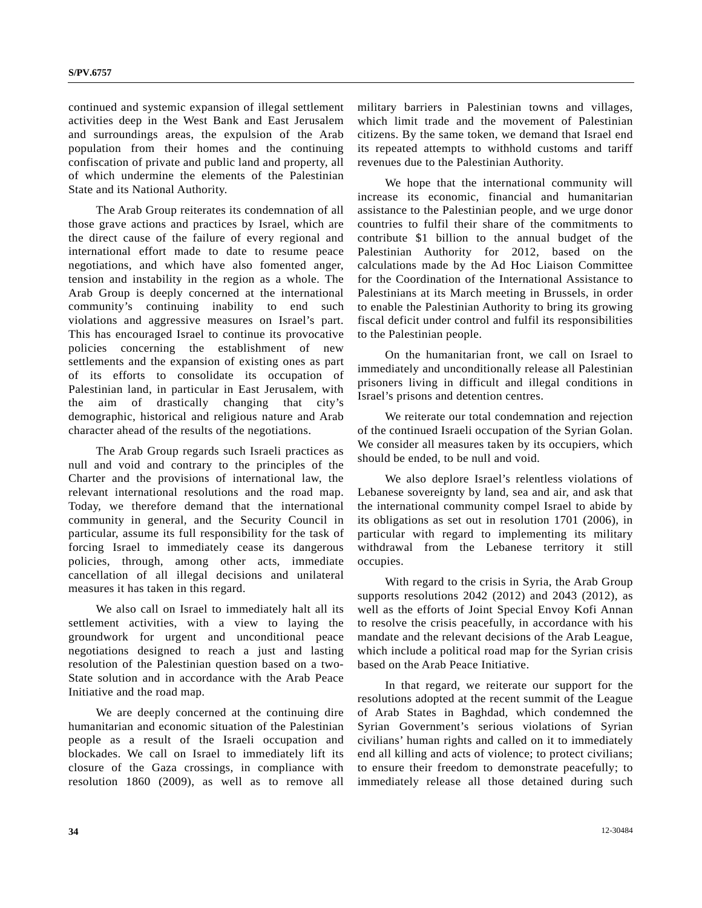continued and systemic expansion of illegal settlement activities deep in the West Bank and East Jerusalem and surroundings areas, the expulsion of the Arab population from their homes and the continuing confiscation of private and public land and property, all of which undermine the elements of the Palestinian State and its National Authority.

 The Arab Group reiterates its condemnation of all those grave actions and practices by Israel, which are the direct cause of the failure of every regional and international effort made to date to resume peace negotiations, and which have also fomented anger, tension and instability in the region as a whole. The Arab Group is deeply concerned at the international community's continuing inability to end such violations and aggressive measures on Israel's part. This has encouraged Israel to continue its provocative policies concerning the establishment of new settlements and the expansion of existing ones as part of its efforts to consolidate its occupation of Palestinian land, in particular in East Jerusalem, with the aim of drastically changing that city's demographic, historical and religious nature and Arab character ahead of the results of the negotiations.

 The Arab Group regards such Israeli practices as null and void and contrary to the principles of the Charter and the provisions of international law, the relevant international resolutions and the road map. Today, we therefore demand that the international community in general, and the Security Council in particular, assume its full responsibility for the task of forcing Israel to immediately cease its dangerous policies, through, among other acts, immediate cancellation of all illegal decisions and unilateral measures it has taken in this regard.

 We also call on Israel to immediately halt all its settlement activities, with a view to laying the groundwork for urgent and unconditional peace negotiations designed to reach a just and lasting resolution of the Palestinian question based on a two-State solution and in accordance with the Arab Peace Initiative and the road map.

 We are deeply concerned at the continuing dire humanitarian and economic situation of the Palestinian people as a result of the Israeli occupation and blockades. We call on Israel to immediately lift its closure of the Gaza crossings, in compliance with resolution 1860 (2009), as well as to remove all military barriers in Palestinian towns and villages, which limit trade and the movement of Palestinian citizens. By the same token, we demand that Israel end its repeated attempts to withhold customs and tariff revenues due to the Palestinian Authority.

 We hope that the international community will increase its economic, financial and humanitarian assistance to the Palestinian people, and we urge donor countries to fulfil their share of the commitments to contribute \$1 billion to the annual budget of the Palestinian Authority for 2012, based on the calculations made by the Ad Hoc Liaison Committee for the Coordination of the International Assistance to Palestinians at its March meeting in Brussels, in order to enable the Palestinian Authority to bring its growing fiscal deficit under control and fulfil its responsibilities to the Palestinian people.

 On the humanitarian front, we call on Israel to immediately and unconditionally release all Palestinian prisoners living in difficult and illegal conditions in Israel's prisons and detention centres.

 We reiterate our total condemnation and rejection of the continued Israeli occupation of the Syrian Golan. We consider all measures taken by its occupiers, which should be ended, to be null and void.

 We also deplore Israel's relentless violations of Lebanese sovereignty by land, sea and air, and ask that the international community compel Israel to abide by its obligations as set out in resolution 1701 (2006), in particular with regard to implementing its military withdrawal from the Lebanese territory it still occupies.

 With regard to the crisis in Syria, the Arab Group supports resolutions 2042 (2012) and 2043 (2012), as well as the efforts of Joint Special Envoy Kofi Annan to resolve the crisis peacefully, in accordance with his mandate and the relevant decisions of the Arab League, which include a political road map for the Syrian crisis based on the Arab Peace Initiative.

 In that regard, we reiterate our support for the resolutions adopted at the recent summit of the League of Arab States in Baghdad, which condemned the Syrian Government's serious violations of Syrian civilians' human rights and called on it to immediately end all killing and acts of violence; to protect civilians; to ensure their freedom to demonstrate peacefully; to immediately release all those detained during such